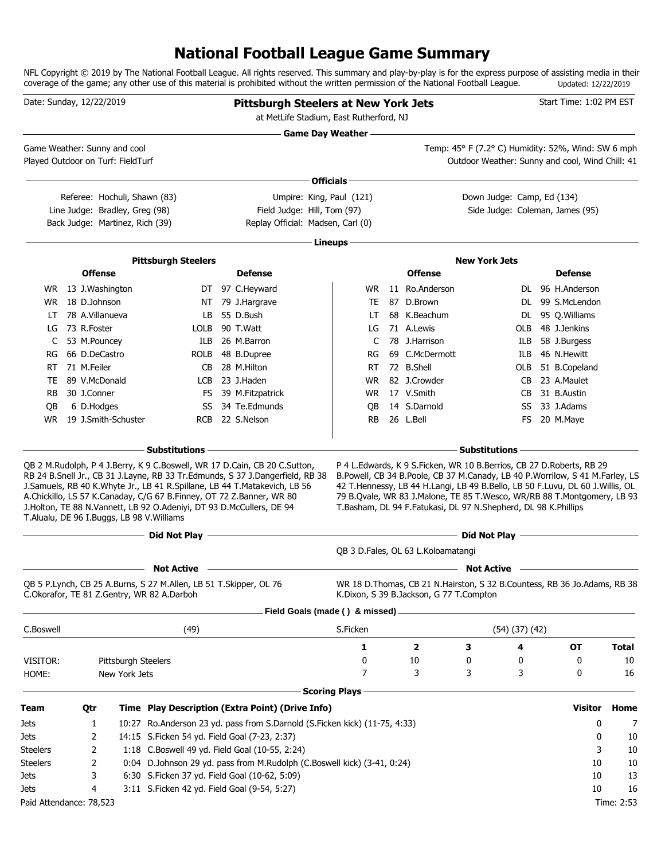### **National Football League Game Summary**

NFL Copyright © 2019 by The National Football League. All rights reserved. This summary and play-by-play is for the express purpose of assisting media in their coverage of the game; any other use of this material is prohibited without the written permission of the National Football League. Updated: 12/22/2019

| Date: Sunday, 12/22/2019                                          |                              |                                                                   |                                                                                                                                                                                           | <b>Pittsburgh Steelers at New York Jets</b><br>at MetLife Stadium, East Rutherford, NJ                                                                                                                                                  |                            |                                         |                                                                                                                                                                                                                                                                                                                                                                                    |          | Start Time: 1:02 PM EST                          |              |
|-------------------------------------------------------------------|------------------------------|-------------------------------------------------------------------|-------------------------------------------------------------------------------------------------------------------------------------------------------------------------------------------|-----------------------------------------------------------------------------------------------------------------------------------------------------------------------------------------------------------------------------------------|----------------------------|-----------------------------------------|------------------------------------------------------------------------------------------------------------------------------------------------------------------------------------------------------------------------------------------------------------------------------------------------------------------------------------------------------------------------------------|----------|--------------------------------------------------|--------------|
| Game Weather: Sunny and cool<br>Played Outdoor on Turf: FieldTurf |                              |                                                                   |                                                                                                                                                                                           |                                                                                                                                                                                                                                         | <b>Game Day Weather --</b> |                                         | Temp: 45° F (7.2° C) Humidity: 52%, Wind: SW 6 mph<br>Outdoor Weather: Sunny and cool, Wind Chill: 41                                                                                                                                                                                                                                                                              |          |                                                  |              |
|                                                                   |                              |                                                                   |                                                                                                                                                                                           |                                                                                                                                                                                                                                         |                            |                                         |                                                                                                                                                                                                                                                                                                                                                                                    |          |                                                  |              |
|                                                                   |                              |                                                                   | Referee: Hochuli, Shawn (83)                                                                                                                                                              | Umpire: King, Paul (121)                                                                                                                                                                                                                | Officials -                |                                         | Down Judge: Camp, Ed (134)                                                                                                                                                                                                                                                                                                                                                         |          |                                                  |              |
|                                                                   |                              | Line Judge: Bradley, Greg (98)<br>Back Judge: Martinez, Rich (39) |                                                                                                                                                                                           | Field Judge: Hill, Tom (97)<br>Replay Official: Madsen, Carl (0)                                                                                                                                                                        |                            |                                         | Side Judge: Coleman, James (95)                                                                                                                                                                                                                                                                                                                                                    |          |                                                  |              |
|                                                                   |                              |                                                                   |                                                                                                                                                                                           |                                                                                                                                                                                                                                         | Lineups -                  |                                         |                                                                                                                                                                                                                                                                                                                                                                                    |          |                                                  |              |
|                                                                   |                              |                                                                   | <b>Pittsburgh Steelers</b>                                                                                                                                                                |                                                                                                                                                                                                                                         |                            |                                         | <b>New York Jets</b>                                                                                                                                                                                                                                                                                                                                                               |          |                                                  |              |
|                                                                   | <b>Offense</b>               |                                                                   |                                                                                                                                                                                           | <b>Defense</b>                                                                                                                                                                                                                          |                            | <b>Offense</b>                          |                                                                                                                                                                                                                                                                                                                                                                                    |          | <b>Defense</b>                                   |              |
|                                                                   | WR 13 J.Washington           |                                                                   |                                                                                                                                                                                           | DT 97 C.Heyward                                                                                                                                                                                                                         | WR.                        | 11 Ro.Anderson                          |                                                                                                                                                                                                                                                                                                                                                                                    |          | DL 96 H.Anderson                                 |              |
| WR.                                                               | 18 D.Johnson                 |                                                                   |                                                                                                                                                                                           | NT 79 J.Hargrave                                                                                                                                                                                                                        | TE                         | 87 D.Brown                              |                                                                                                                                                                                                                                                                                                                                                                                    | DL       | 99 S.McLendon                                    |              |
| LT                                                                | 78 A.Villanueva              |                                                                   | LB.                                                                                                                                                                                       | 55 D.Bush                                                                                                                                                                                                                               | LT                         | 68 K.Beachum                            |                                                                                                                                                                                                                                                                                                                                                                                    |          | DL 95 Q.Williams                                 |              |
| LG                                                                | 73 R.Foster                  |                                                                   | <b>LOLB</b>                                                                                                                                                                               | 90 T.Watt                                                                                                                                                                                                                               | LG                         | 71 A.Lewis                              |                                                                                                                                                                                                                                                                                                                                                                                    | OLB      | 48 J.Jenkins                                     |              |
| C                                                                 | 53 M.Pouncey                 |                                                                   | ILB                                                                                                                                                                                       | 26 M.Barron                                                                                                                                                                                                                             | C                          | 78 J.Harrison                           |                                                                                                                                                                                                                                                                                                                                                                                    | ILB      | 58 J.Burgess                                     |              |
| RG                                                                | 66 D.DeCastro                |                                                                   | <b>ROLB</b>                                                                                                                                                                               | 48 B.Dupree                                                                                                                                                                                                                             | RG                         | 69 C.McDermott                          |                                                                                                                                                                                                                                                                                                                                                                                    | ILB      | 46 N.Hewitt                                      |              |
| RT                                                                | 71 M.Feiler                  |                                                                   | CB.                                                                                                                                                                                       | 28 M.Hilton                                                                                                                                                                                                                             | RT                         | 72 B.Shell                              |                                                                                                                                                                                                                                                                                                                                                                                    | OLB      | 51 B.Copeland                                    |              |
| TE<br><b>RB</b>                                                   | 89 V.McDonald<br>30 J.Conner |                                                                   | LCB<br>FS                                                                                                                                                                                 | 23 J.Haden<br>39 M.Fitzpatrick                                                                                                                                                                                                          | WR.<br>WR                  | 82 J.Crowder<br>17 V.Smith              |                                                                                                                                                                                                                                                                                                                                                                                    | CB<br>CB | 23 A.Maulet<br>31 B.Austin                       |              |
| OВ                                                                | 6 D.Hodges                   |                                                                   | SS                                                                                                                                                                                        | 34 Te.Edmunds                                                                                                                                                                                                                           | QB                         | 14 S.Darnold                            |                                                                                                                                                                                                                                                                                                                                                                                    | SS       | 33 J.Adams                                       |              |
| <b>WR</b>                                                         |                              | 19 J.Smith-Schuster                                               | <b>RCB</b>                                                                                                                                                                                | 22 S.Nelson                                                                                                                                                                                                                             | <b>RB</b>                  | 26 L.Bell                               |                                                                                                                                                                                                                                                                                                                                                                                    | FS       | 20 M.Maye                                        |              |
|                                                                   |                              |                                                                   |                                                                                                                                                                                           |                                                                                                                                                                                                                                         |                            |                                         |                                                                                                                                                                                                                                                                                                                                                                                    |          |                                                  |              |
|                                                                   |                              |                                                                   | – Substitutions                                                                                                                                                                           |                                                                                                                                                                                                                                         |                            |                                         | <b>Substitutions</b>                                                                                                                                                                                                                                                                                                                                                               |          |                                                  |              |
|                                                                   |                              |                                                                   | A.Chickillo, LS 57 K.Canaday, C/G 67 B.Finney, OT 72 Z.Banner, WR 80<br>J.Holton, TE 88 N.Vannett, LB 92 O.Adeniyi, DT 93 D.McCullers, DE 94<br>T.Alualu, DE 96 I.Buggs, LB 98 V.Williams | QB 2 M.Rudolph, P 4 J.Berry, K 9 C.Boswell, WR 17 D.Cain, CB 20 C.Sutton,<br>RB 24 B.Snell Jr., CB 31 J.Layne, RB 33 Tr.Edmunds, S 37 J.Dangerfield, RB 38<br>J.Samuels, RB 40 K.Whyte Jr., LB 41 R.Spillane, LB 44 T.Matakevich, LB 56 |                            |                                         | P 4 L.Edwards, K 9 S.Ficken, WR 10 B.Berrios, CB 27 D.Roberts, RB 29<br>B.Powell, CB 34 B.Poole, CB 37 M.Canady, LB 40 P.Worrilow, S 41 M.Farley, LS<br>42 T.Hennessy, LB 44 H.Langi, LB 49 B.Bello, LB 50 F.Luvu, DL 60 J.Willis, OL<br>79 B.Qvale, WR 83 J.Malone, TE 85 T.Wesco, WR/RB 88 T.Montgomery, LB 93<br>T.Basham, DL 94 F.Fatukasi, DL 97 N.Shepherd, DL 98 K.Phillips |          |                                                  |              |
|                                                                   |                              |                                                                   | $-$ Did Not Play $-$                                                                                                                                                                      | <b>Did Not Play</b>                                                                                                                                                                                                                     |                            |                                         |                                                                                                                                                                                                                                                                                                                                                                                    |          | the control of the control of the control of the |              |
|                                                                   |                              |                                                                   |                                                                                                                                                                                           |                                                                                                                                                                                                                                         |                            | QB 3 D.Fales, OL 63 L.Koloamatangi      |                                                                                                                                                                                                                                                                                                                                                                                    |          |                                                  |              |
|                                                                   |                              |                                                                   | <b>Not Active</b>                                                                                                                                                                         |                                                                                                                                                                                                                                         |                            |                                         | <b>Not Active</b>                                                                                                                                                                                                                                                                                                                                                                  |          |                                                  |              |
|                                                                   |                              |                                                                   | QB 5 P.Lynch, CB 25 A.Burns, S 27 M.Allen, LB 51 T.Skipper, OL 76<br>C.Okorafor, TE 81 Z.Gentry, WR 82 A.Darboh                                                                           |                                                                                                                                                                                                                                         |                            | K.Dixon, S 39 B.Jackson, G 77 T.Compton | WR 18 D. Thomas, CB 21 N. Hairston, S 32 B. Countess, RB 36 Jo. Adams, RB 38                                                                                                                                                                                                                                                                                                       |          |                                                  |              |
|                                                                   |                              |                                                                   |                                                                                                                                                                                           | Field Goals (made () & missed) _                                                                                                                                                                                                        |                            |                                         |                                                                                                                                                                                                                                                                                                                                                                                    |          |                                                  |              |
| C.Boswell                                                         |                              |                                                                   | (49)                                                                                                                                                                                      |                                                                                                                                                                                                                                         | S.Ficken                   |                                         | (54)(37)(42)                                                                                                                                                                                                                                                                                                                                                                       |          |                                                  |              |
|                                                                   |                              |                                                                   |                                                                                                                                                                                           |                                                                                                                                                                                                                                         | 1                          | $\overline{\mathbf{2}}$                 | 3                                                                                                                                                                                                                                                                                                                                                                                  | 4        | <b>OT</b>                                        | <b>Total</b> |
| VISITOR:                                                          |                              | Pittsburgh Steelers                                               |                                                                                                                                                                                           |                                                                                                                                                                                                                                         | 0                          | 10                                      | 0                                                                                                                                                                                                                                                                                                                                                                                  | 0        | 0                                                | 10           |
| HOME:                                                             |                              | New York Jets                                                     |                                                                                                                                                                                           |                                                                                                                                                                                                                                         | 7                          | 3                                       | 3                                                                                                                                                                                                                                                                                                                                                                                  | 3        | 0                                                | 16           |
|                                                                   |                              |                                                                   |                                                                                                                                                                                           |                                                                                                                                                                                                                                         | <b>Scoring Plays</b>       |                                         |                                                                                                                                                                                                                                                                                                                                                                                    |          |                                                  |              |
| <b>Team</b>                                                       | Qtr                          |                                                                   |                                                                                                                                                                                           | Time Play Description (Extra Point) (Drive Info)                                                                                                                                                                                        |                            |                                         |                                                                                                                                                                                                                                                                                                                                                                                    |          | <b>Visitor</b>                                   | Home         |
| Jets                                                              | 1                            |                                                                   |                                                                                                                                                                                           | 10:27 Ro.Anderson 23 yd. pass from S.Darnold (S.Ficken kick) (11-75, 4:33)                                                                                                                                                              |                            |                                         |                                                                                                                                                                                                                                                                                                                                                                                    |          | 0                                                | 7            |
| Jets                                                              | 2                            |                                                                   | 14:15 S.Ficken 54 yd. Field Goal (7-23, 2:37)                                                                                                                                             |                                                                                                                                                                                                                                         |                            |                                         |                                                                                                                                                                                                                                                                                                                                                                                    |          | 0                                                | 10           |
| Steelers                                                          | 2                            |                                                                   |                                                                                                                                                                                           | 1:18 C.Boswell 49 yd. Field Goal (10-55, 2:24)                                                                                                                                                                                          |                            |                                         |                                                                                                                                                                                                                                                                                                                                                                                    |          | 3                                                | 10           |
| <b>Steelers</b>                                                   | 2                            |                                                                   |                                                                                                                                                                                           | 0:04 D.Johnson 29 yd. pass from M.Rudolph (C.Boswell kick) (3-41, 0:24)                                                                                                                                                                 |                            |                                         |                                                                                                                                                                                                                                                                                                                                                                                    |          | 10                                               | 10           |
| Jets                                                              | 3                            |                                                                   | 6:30 S.Ficken 37 yd. Field Goal (10-62, 5:09)                                                                                                                                             |                                                                                                                                                                                                                                         |                            |                                         |                                                                                                                                                                                                                                                                                                                                                                                    |          | 10                                               | 13           |
| Jets                                                              | 4                            |                                                                   | 3:11 S. Ficken 42 yd. Field Goal (9-54, 5:27)                                                                                                                                             |                                                                                                                                                                                                                                         |                            |                                         |                                                                                                                                                                                                                                                                                                                                                                                    |          | 10                                               | 16           |
| Paid Attendance: 78,523                                           |                              |                                                                   |                                                                                                                                                                                           |                                                                                                                                                                                                                                         |                            |                                         |                                                                                                                                                                                                                                                                                                                                                                                    |          |                                                  | Time: 2:53   |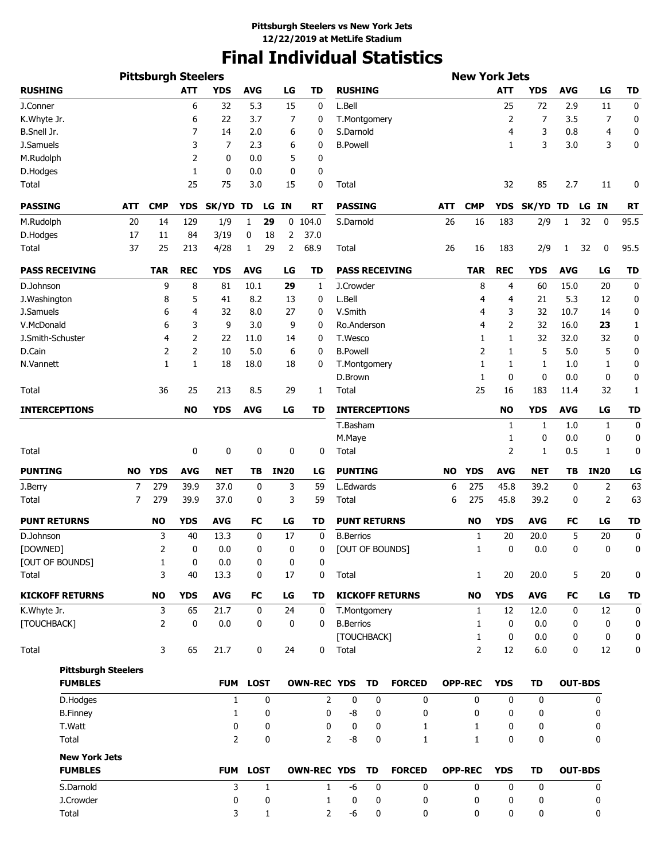# **Final Individual Statistics**

|                            |           | <b>Pittsburgh Steelers</b> |            |              |             |              |             |                    |                      |             |                        |            | <b>New York Jets</b>           |             |              |            |                   |           |
|----------------------------|-----------|----------------------------|------------|--------------|-------------|--------------|-------------|--------------------|----------------------|-------------|------------------------|------------|--------------------------------|-------------|--------------|------------|-------------------|-----------|
| <b>RUSHING</b>             |           |                            | <b>ATT</b> | <b>YDS</b>   | <b>AVG</b>  |              | LG          | TD                 | <b>RUSHING</b>       |             |                        |            |                                | ATT         | <b>YDS</b>   | <b>AVG</b> | LG                | TD        |
| J.Conner                   |           |                            | 6          | 32           | 5.3         |              | 15          | 0                  | L.Bell               |             |                        |            |                                | 25          | 72           | 2.9        | 11                | 0         |
| K.Whyte Jr.                |           |                            | 6          | 22           | 3.7         |              | 7           | 0                  | T.Montgomery         |             |                        |            |                                | 2           | 7            | 3.5        | 7                 | 0         |
| <b>B.Snell Jr.</b>         |           |                            | 7          | 14           | 2.0         |              | 6           | 0                  | S.Darnold            |             |                        |            |                                | 4           | 3            | 0.8        | 4                 | 0         |
| J.Samuels                  |           |                            | 3          | 7            | 2.3         |              | 6           | 0                  | <b>B.Powell</b>      |             |                        |            |                                | 1           | 3            | 3.0        | 3                 | 0         |
| M.Rudolph                  |           |                            | 2          | 0            | 0.0         |              | 5           | 0                  |                      |             |                        |            |                                |             |              |            |                   |           |
| D.Hodges                   |           |                            | 1          | 0            | 0.0         |              | 0           | 0                  |                      |             |                        |            |                                |             |              |            |                   |           |
| Total                      |           |                            | 25         | 75           | 3.0         |              | 15          | 0                  | Total                |             |                        |            |                                | 32          | 85           | 2.7        | 11                | 0         |
| <b>PASSING</b>             | ATT       | <b>CMP</b>                 | <b>YDS</b> | <b>SK/YD</b> | TD          |              | LG IN       | RT                 | <b>PASSING</b>       |             |                        | <b>ATT</b> | <b>CMP</b>                     | <b>YDS</b>  | <b>SK/YD</b> | TD         | LG IN             | <b>RT</b> |
| M.Rudolph                  | 20        | 14                         | 129        | 1/9          | 1           | 29           |             | $0$ 104.0          | S.Darnold            |             |                        | 26         | 16                             | 183         | 2/9          | 1          | 32<br>0           | 95.5      |
| D.Hodges                   | 17        | 11                         | 84         | 3/19         | 0           | 18           | 2           | 37.0               |                      |             |                        |            |                                |             |              |            |                   |           |
| Total                      | 37        | 25                         | 213        | 4/28         | 1           | 29           | 2           | 68.9               | Total                |             |                        | 26         | 16                             | 183         | 2/9          | 1          | 32<br>0           | 95.5      |
| <b>PASS RECEIVING</b>      |           | <b>TAR</b>                 | <b>REC</b> | <b>YDS</b>   | <b>AVG</b>  |              | LG          | TD                 |                      |             | <b>PASS RECEIVING</b>  |            | <b>TAR</b>                     | <b>REC</b>  | <b>YDS</b>   | <b>AVG</b> | LG                | TD        |
| D.Johnson                  |           | 9                          | 8          | 81           | 10.1        |              | 29          | 1                  | J.Crowder            |             |                        |            | 8                              | 4           | 60           | 15.0       | 20                | 0         |
| J.Washington               |           | 8                          | 5          | 41           | 8.2         |              | 13          | 0                  | L.Bell               |             |                        |            | 4                              | 4           | 21           | 5.3        | 12                | 0         |
| J.Samuels                  |           | 6                          | 4          | 32           | 8.0         |              | 27          | 0                  | V.Smith              |             |                        |            | 4                              | 3           | 32           | 10.7       | 14                | 0         |
| V.McDonald                 |           | 6                          | 3          | 9            | 3.0         |              | 9           | 0                  | Ro.Anderson          |             |                        |            | 4                              | 2           | 32           | 16.0       | 23                | 1         |
| J.Smith-Schuster           |           | 4                          | 2          | 22           | 11.0        |              | 14          | 0                  | T.Wesco              |             |                        |            | 1                              | 1           | 32           | 32.0       | 32                | 0         |
| D.Cain                     |           | 2                          | 2          | 10           | 5.0         |              | 6           | 0                  | <b>B.Powell</b>      |             |                        |            | 2                              | 1           | 5            | 5.0        | 5                 | 0         |
| N.Vannett                  |           | 1                          | 1          | 18           | 18.0        |              | 18          | 0                  | T.Montgomery         |             |                        |            | 1                              | 1           | 1            | 1.0        | 1                 | 0         |
|                            |           |                            |            |              |             |              |             |                    | D.Brown              |             |                        |            | 1                              | 0           | 0            | 0.0        | 0                 | 0         |
| Total                      |           | 36                         | 25         | 213          | 8.5         |              | 29          | 1                  | Total                |             |                        |            | 25                             | 16          | 183          | 11.4       | 32                | 1         |
| <b>INTERCEPTIONS</b>       |           |                            | <b>NO</b>  | <b>YDS</b>   | <b>AVG</b>  |              | LG          | TD                 |                      |             | <b>INTERCEPTIONS</b>   |            |                                | <b>NO</b>   | <b>YDS</b>   | <b>AVG</b> | LG                | <b>TD</b> |
|                            |           |                            |            |              |             |              |             |                    | T.Basham             |             |                        |            |                                | 1           | 1            | 1.0        | 1                 | 0         |
|                            |           |                            |            |              |             |              |             |                    | M.Maye               |             |                        |            |                                | 1           | 0            | 0.0        | 0                 | 0         |
| Total                      |           |                            | 0          | 0            | 0           |              | 0           | 0                  | Total                |             |                        |            |                                | 2           | 1            | 0.5        | 1                 | 0         |
| <b>PUNTING</b>             | <b>NO</b> | <b>YDS</b>                 | <b>AVG</b> | <b>NET</b>   | ΤB          |              | <b>IN20</b> | LG                 | <b>PUNTING</b>       |             |                        | NO         | <b>YDS</b>                     | <b>AVG</b>  | <b>NET</b>   | TВ         | <b>IN20</b>       | LG        |
| J.Berry                    | 7         | 279                        | 39.9       | 37.0         | 0           |              | 3           | 59                 | L.Edwards            |             |                        | 6          | 275                            | 45.8        | 39.2         | 0          | 2                 | 63        |
| Total                      | 7         | 279                        | 39.9       | 37.0         | 0           |              | 3           | 59                 | Total                |             |                        | 6          | 275                            | 45.8        | 39.2         | 0          | $\overline{2}$    | 63        |
| <b>PUNT RETURNS</b>        |           | <b>NO</b>                  | <b>YDS</b> | <b>AVG</b>   | <b>FC</b>   |              | LG          | TD                 | <b>PUNT RETURNS</b>  |             |                        |            | <b>NO</b>                      | <b>YDS</b>  | <b>AVG</b>   | FC         | LG                | <b>TD</b> |
| D.Johnson                  |           | 3                          | 40         | 13.3         | 0           |              | 17          | 0                  | <b>B.Berrios</b>     |             |                        |            | 1                              | 20          | 20.0         | 5          | 20                | 0         |
| [DOWNED]                   |           | 2                          | 0          | 0.0          | 0           |              | 0           | 0                  |                      |             | [OUT OF BOUNDS]        |            | 1                              | 0           | 0.0          | 0          | 0                 | 0         |
| [OUT OF BOUNDS]            |           | 1                          | 0          | 0.0          | 0           |              | 0           | 0                  |                      |             |                        |            |                                |             |              |            |                   |           |
| Total                      |           | 3                          | 40         | 13.3         | 0           |              | 17          | 0                  | Total                |             |                        |            | 1                              | 20          | 20.0         | 5          | 20                | 0         |
| <b>KICKOFF RETURNS</b>     |           | <b>NO</b>                  | <b>YDS</b> | <b>AVG</b>   | FC          |              | LG          | TD                 |                      |             | <b>KICKOFF RETURNS</b> |            | <b>NO</b>                      | <b>YDS</b>  | <b>AVG</b>   | FC         | LG                | TD        |
| K.Whyte Jr.                |           | 3                          | 65         | 21.7         | 0           |              | 24          | 0                  | T.Montgomery         |             |                        |            | $\mathbf{1}$                   | 12          | 12.0         | 0          | 12                | 0         |
| [TOUCHBACK]                |           | $\overline{2}$             | 0          | 0.0          | 0           |              | $\mathbf 0$ | $\mathbf{0}$       | <b>B.Berrios</b>     |             |                        |            | $\mathbf{1}$                   | $\mathbf 0$ | 0.0          | 0          | $\mathbf 0$       | 0         |
| Total                      |           | 3                          | 65         | 21.7         | 0           |              | 24          | 0                  | [TOUCHBACK]<br>Total |             |                        |            | $\mathbf{1}$<br>$\overline{2}$ | 0<br>12     | 0.0<br>6.0   | 0<br>0     | $\mathbf 0$<br>12 | 0<br>0    |
| <b>Pittsburgh Steelers</b> |           |                            |            |              |             |              |             |                    |                      |             |                        |            |                                |             |              |            |                   |           |
| <b>FUMBLES</b>             |           |                            |            |              | FUM LOST    |              |             | <b>OWN-REC YDS</b> |                      | TD          | <b>FORCED</b>          |            | <b>OPP-REC</b>                 | <b>YDS</b>  | TD           |            | <b>OUT-BDS</b>    |           |
| D.Hodges                   |           |                            |            | $\mathbf{1}$ |             | $\mathbf 0$  |             | $\overline{2}$     | $\mathbf 0$          | 0           | 0                      |            | $\mathbf{0}$                   | $\mathbf 0$ | 0            |            | 0                 |           |
| <b>B.Finney</b>            |           |                            |            | 1            |             | 0            |             | 0                  | -8                   | 0           | 0                      |            | 0                              | 0           | $\mathbf 0$  |            | 0                 |           |
| T.Watt                     |           |                            |            | 0            |             | 0            |             | 0                  | 0                    | 0           | 1                      |            | 1                              | 0           | 0            |            | 0                 |           |
| Total                      |           |                            |            | 2            |             | 0            |             | $\overline{2}$     | -8                   | 0           | $\mathbf{1}$           |            | $\mathbf{1}$                   | 0           | $\mathbf 0$  |            | 0                 |           |
| <b>New York Jets</b>       |           |                            |            |              |             |              |             |                    |                      |             |                        |            |                                |             |              |            |                   |           |
| <b>FUMBLES</b>             |           |                            |            | <b>FUM</b>   | <b>LOST</b> |              |             | <b>OWN-REC YDS</b> |                      | <b>TD</b>   | <b>FORCED</b>          |            | <b>OPP-REC</b>                 | <b>YDS</b>  | TD           |            | <b>OUT-BDS</b>    |           |
| S.Darnold                  |           |                            |            | 3            |             | 1            |             | $\mathbf{1}$       | -6                   | 0           | 0                      |            | 0                              | $\mathbf 0$ | 0            |            | 0                 |           |
| J.Crowder                  |           |                            |            | 0            |             | 0            |             | $\mathbf{1}$       | 0                    | $\mathbf 0$ | 0                      |            | 0                              | 0           | 0            |            | 0                 |           |
| Total                      |           |                            |            | 3            |             | $\mathbf{1}$ |             | $\overline{2}$     | $-6$                 | 0           | 0                      |            | 0                              | 0           | 0            |            | 0                 |           |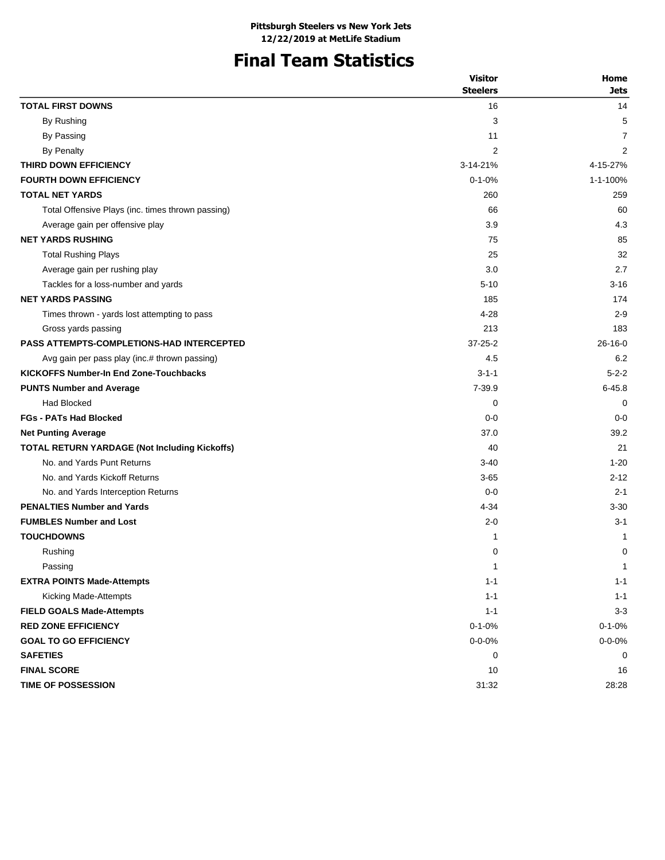### **Final Team Statistics**

|                                                   | <b>Visitor</b>  | Home          |
|---------------------------------------------------|-----------------|---------------|
|                                                   | <b>Steelers</b> | <b>Jets</b>   |
| <b>TOTAL FIRST DOWNS</b>                          | 16              | 14            |
| By Rushing                                        | 3               | 5             |
| By Passing                                        | 11              | 7             |
| By Penalty                                        | 2               | 2             |
| THIRD DOWN EFFICIENCY                             | 3-14-21%        | 4-15-27%      |
| <b>FOURTH DOWN EFFICIENCY</b>                     | $0 - 1 - 0%$    | 1-1-100%      |
| <b>TOTAL NET YARDS</b>                            | 260             | 259           |
| Total Offensive Plays (inc. times thrown passing) | 66              | 60            |
| Average gain per offensive play                   | 3.9             | 4.3           |
| <b>NET YARDS RUSHING</b>                          | 75              | 85            |
| <b>Total Rushing Plays</b>                        | 25              | 32            |
| Average gain per rushing play                     | 3.0             | 2.7           |
| Tackles for a loss-number and yards               | $5 - 10$        | $3 - 16$      |
| <b>NET YARDS PASSING</b>                          | 185             | 174           |
| Times thrown - yards lost attempting to pass      | 4-28            | $2 - 9$       |
| Gross yards passing                               | 213             | 183           |
| <b>PASS ATTEMPTS-COMPLETIONS-HAD INTERCEPTED</b>  | $37 - 25 - 2$   | $26 - 16 - 0$ |
| Avg gain per pass play (inc.# thrown passing)     | 4.5             | 6.2           |
| <b>KICKOFFS Number-In End Zone-Touchbacks</b>     | $3 - 1 - 1$     | $5 - 2 - 2$   |
| <b>PUNTS Number and Average</b>                   | $7 - 39.9$      | $6 - 45.8$    |
| <b>Had Blocked</b>                                | 0               | 0             |
| <b>FGs - PATs Had Blocked</b>                     | $0 - 0$         | $0 - 0$       |
| <b>Net Punting Average</b>                        | 37.0            | 39.2          |
| TOTAL RETURN YARDAGE (Not Including Kickoffs)     | 40              | 21            |
| No. and Yards Punt Returns                        | $3 - 40$        | $1 - 20$      |
| No. and Yards Kickoff Returns                     | $3 - 65$        | $2 - 12$      |
| No. and Yards Interception Returns                | $0 - 0$         | $2 - 1$       |
| <b>PENALTIES Number and Yards</b>                 | 4-34            | $3 - 30$      |
| <b>FUMBLES Number and Lost</b>                    | $2 - 0$         | $3 - 1$       |
| <b>TOUCHDOWNS</b>                                 | 1               | -1            |
| Rushing                                           | 0               | 0             |
| Passing                                           | 1               | $\mathbf{1}$  |
| <b>EXTRA POINTS Made-Attempts</b>                 | $1 - 1$         | $1 - 1$       |
| Kicking Made-Attempts                             | $1 - 1$         | $1 - 1$       |
| <b>FIELD GOALS Made-Attempts</b>                  | $1 - 1$         | $3 - 3$       |
| <b>RED ZONE EFFICIENCY</b>                        | $0 - 1 - 0%$    | $0 - 1 - 0%$  |
| <b>GOAL TO GO EFFICIENCY</b>                      | $0 - 0 - 0\%$   | $0 - 0 - 0%$  |
| <b>SAFETIES</b>                                   | 0               | 0             |
| <b>FINAL SCORE</b>                                | 10              | 16            |
| TIME OF POSSESSION                                | 31:32           | 28:28         |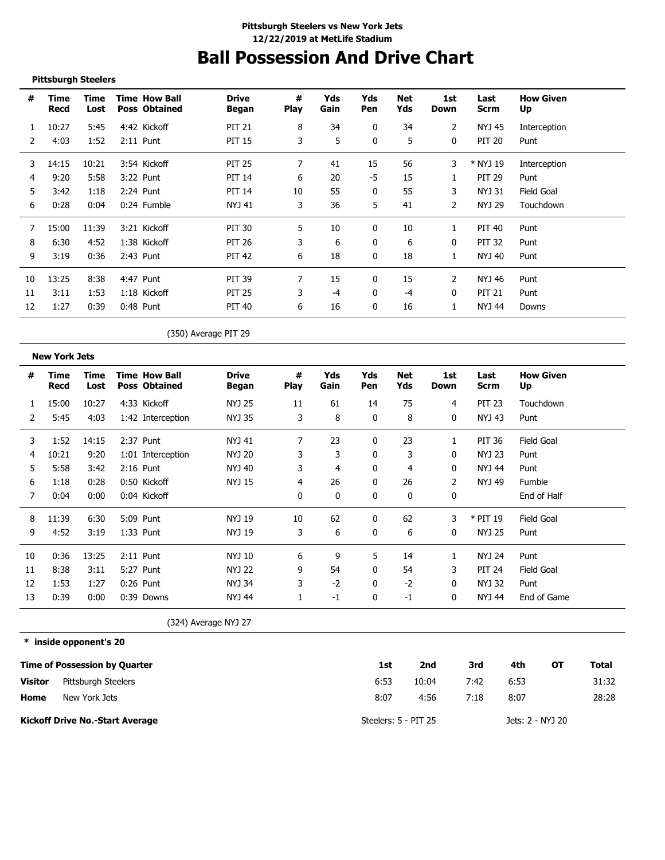# **Ball Possession And Drive Chart**

**Pittsburgh Steelers**

| #  | Time<br>Recd | Time<br>Lost | <b>Time How Ball</b><br><b>Poss Obtained</b> | <b>Drive</b><br>Began | #<br><b>Play</b> | Yds<br>Gain | Yds<br>Pen | Net<br>Yds | 1st<br>Down | Last<br><b>Scrm</b> | <b>How Given</b><br>Up |
|----|--------------|--------------|----------------------------------------------|-----------------------|------------------|-------------|------------|------------|-------------|---------------------|------------------------|
|    | 10:27        | 5:45         | 4:42 Kickoff                                 | <b>PIT 21</b>         | 8                | 34          | 0          | 34         | 2           | NYJ 45              | Interception           |
|    | 4:03         | 1:52         | $2:11$ Punt                                  | <b>PIT 15</b>         | 3                | 5           | $\Omega$   | 5          | $\Omega$    | <b>PIT 20</b>       | Punt                   |
| 3  | 14:15        | 10:21        | 3:54 Kickoff                                 | <b>PIT 25</b>         | 7                | 41          | 15         | 56         | 3           | * NYJ 19            | Interception           |
| 4  | 9:20         | 5:58         | 3:22 Punt                                    | <b>PIT 14</b>         | 6                | 20          | -5         | 15         |             | <b>PIT 29</b>       | Punt                   |
| 5. | 3:42         | 1:18         | 2:24 Punt                                    | <b>PIT 14</b>         | 10               | 55          | 0          | 55         | 3           | NYJ 31              | Field Goal             |
| 6  | 0:28         | 0:04         | 0:24 Fumble                                  | NYJ 41                | 3                | 36          | 5          | 41         | 2           | NYJ 29              | Touchdown              |
|    | 15:00        | 11:39        | 3:21 Kickoff                                 | <b>PIT 30</b>         | 5.               | 10          | 0          | 10         |             | PIT 40              | Punt                   |
| 8  | 6:30         | 4:52         | 1:38 Kickoff                                 | PIT 26                |                  | 6           | 0          | 6          | 0           | <b>PIT 32</b>       | Punt                   |
| 9  | 3:19         | 0:36         | 2:43 Punt                                    | <b>PIT 42</b>         | 6                | 18          | 0          | 18         |             | NYJ 40              | Punt                   |
| 10 | 13:25        | 8:38         | 4:47 Punt                                    | <b>PIT 39</b>         |                  | 15          | 0          | 15         | 2           | NYJ 46              | Punt                   |
| 11 | 3:11         | 1:53         | 1:18 Kickoff                                 | <b>PIT 25</b>         |                  | -4          | 0          | -4         | 0           | PIT 21              | Punt                   |
| 12 | 1:27         | 0:39         | 0:48 Punt                                    | PIT 40                | 6                | 16          | 0          | 16         | 1           | NYJ 44              | Downs                  |

(350) Average PIT 29

|    | <b>New York Jets</b> |              |                                              |                       |                  |             |              |            |                |               |                        |
|----|----------------------|--------------|----------------------------------------------|-----------------------|------------------|-------------|--------------|------------|----------------|---------------|------------------------|
| #  | Time<br>Recd         | Time<br>Lost | <b>Time How Ball</b><br><b>Poss Obtained</b> | <b>Drive</b><br>Began | #<br><b>Play</b> | Yds<br>Gain | Yds<br>Pen   | Net<br>Yds | 1st<br>Down    | Last<br>Scrm  | <b>How Given</b><br>Up |
|    | 15:00                | 10:27        | 4:33 Kickoff                                 | NYJ 25                | 11               | 61          | 14           | 75         | 4              | <b>PIT 23</b> | Touchdown              |
|    | 5:45                 | 4:03         | 1:42 Interception                            | <b>NYJ 35</b>         | 3                | 8           | $\mathbf{0}$ | 8          | 0              | <b>NYJ 43</b> | Punt                   |
| 3  | 1:52                 | 14:15        | 2:37 Punt                                    | <b>NYJ 41</b>         | 7                | 23          | 0            | 23         | 1              | PIT 36        | Field Goal             |
| 4  | 10:21                | 9:20         | 1:01 Interception                            | NYJ 20                | 3                | 3           | 0            | 3          | 0              | <b>NYJ 23</b> | Punt                   |
| 5. | 5:58                 | 3:42         | $2:16$ Punt                                  | NYJ 40                | 3                | 4           | 0            | 4          | $\mathbf{0}$   | NYJ 44        | Punt                   |
| 6  | 1:18                 | 0:28         | 0:50 Kickoff                                 | NYJ 15                | 4                | 26          | 0            | 26         | $\overline{2}$ | NYJ 49        | <b>Fumble</b>          |
|    | 0:04                 | 0:00         | 0:04 Kickoff                                 |                       | 0                | 0           | 0            | 0          | 0              |               | End of Half            |
| 8  | 11:39                | 6:30         | 5:09 Punt                                    | <b>NYJ 19</b>         | 10               | 62          | 0            | 62         | 3              | $*$ PIT 19    | <b>Field Goal</b>      |
| 9  | 4:52                 | 3:19         | $1:33$ Punt                                  | NYJ 19                | 3                | 6           | $\mathbf{0}$ | 6          | 0              | <b>NYJ 25</b> | Punt                   |
| 10 | 0:36                 | 13:25        | $2:11$ Punt                                  | NYJ 10                | 6                | 9           | 5            | 14         |                | NYJ 24        | Punt                   |
| 11 | 8:38                 | 3:11         | 5:27 Punt                                    | <b>NYJ 22</b>         | 9                | 54          | 0            | 54         | 3              | <b>PIT 24</b> | Field Goal             |
| 12 | 1:53                 | 1:27         | $0:26$ Punt                                  | NYJ 34                | 3                | $-2$        | $\mathbf{0}$ | $-2$       | 0              | <b>NYJ 32</b> | Punt                   |
| 13 | 0:39                 | 0:00         | 0:39 Downs                                   | NYJ 44                |                  | -1          | 0            | -1         | 0              | <b>NYJ 44</b> | End of Game            |

(324) Average NYJ 27

**\* inside opponent's 20**

|         | <b>Time of Possession by Quarter</b>   | 1st                  | 2nd   | 3rd  | 4th              | OТ | Total |
|---------|----------------------------------------|----------------------|-------|------|------------------|----|-------|
| Visitor | Pittsburgh Steelers                    | 6:53                 | 10:04 | 7:42 | 6:53             |    | 31:32 |
| Home    | New York Jets                          | 8:07                 | 4:56  | 7:18 | 8:07             |    | 28:28 |
|         | <b>Kickoff Drive No.-Start Average</b> | Steelers: 5 - PIT 25 |       |      | Jets: 2 - NYJ 20 |    |       |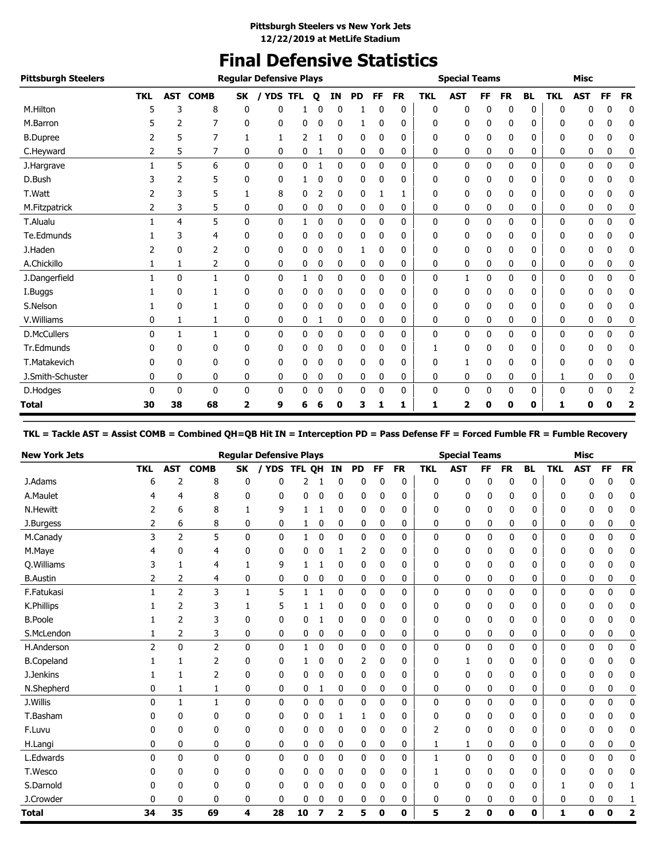### **Final Defensive Statistics**

| <b>Pittsburgh Steelers</b> |            |              |              |              | <b>Reqular Defensive Plays</b> |            |   |              |           |              |             |            | <b>Special Teams</b> |              |           |           |            | <b>Misc</b>  |    |                |
|----------------------------|------------|--------------|--------------|--------------|--------------------------------|------------|---|--------------|-----------|--------------|-------------|------------|----------------------|--------------|-----------|-----------|------------|--------------|----|----------------|
|                            | <b>TKL</b> | AST          | <b>COMB</b>  | <b>SK</b>    | / YDS                          | <b>TFL</b> | О | ΙN           | <b>PD</b> | FF           | <b>FR</b>   | <b>TKL</b> | <b>AST</b>           | FF           | <b>FR</b> | <b>BL</b> | <b>TKL</b> | <b>AST</b>   | FF | <b>FR</b>      |
| M.Hilton                   | 5          | 3            | 8            | 0            | 0                              | 1          | 0 | 0            | 1         | 0            | $\mathbf 0$ | 0          | 0                    | 0            | 0         | 0         | 0          | 0            | 0  | 0              |
| M.Barron                   |            | 2            | 7            | 0            | 0                              | 0          |   | 0            |           | $\mathbf{0}$ | 0           | 0          | 0                    | 0            | 0         | 0         | 0          | 0            | 0  | 0              |
| <b>B.Dupree</b>            | 2          | 5            | 7            | 1            | 1                              | 2          |   | $\mathbf{0}$ | 0         | 0            | 0           | 0          | 0                    | 0            | 0         | 0         | 0          | 0            | 0  | 0              |
| C.Heyward                  | 2          | 5            | 7            | 0            | 0                              | 0          |   | 0            | 0         | 0            | 0           | 0          | 0                    | 0            | 0         | 0         | 0          | 0            | 0  | 0              |
| J.Hargrave                 |            | 5            | 6            | 0            | 0                              | 0          | 1 | 0            | 0         | $\mathbf{0}$ | 0           | 0          | 0                    | 0            | 0         | 0         | 0          | 0            | 0  | 0              |
| D.Bush                     |            | 2            | 5            | 0            | 0                              |            | 0 | 0            | 0         | $\mathbf{0}$ | 0           | 0          | 0                    | 0            | 0         | 0         | 0          | 0            | 0  | 0              |
| T.Watt                     | 2          | 3            | 5            | 1            | 8                              | 0          | 2 | 0            | 0         | 1            | 1           | 0          | 0                    | 0            | 0         | 0         | 0          | 0            | 0  | 0              |
| M.Fitzpatrick              | 2          | 3            | 5            | 0            | 0                              | 0          | 0 | 0            | 0         | 0            | 0           | 0          | 0                    | 0            | 0         | 0         | 0          | 0            | 0  | 0              |
| T.Alualu                   |            | 4            | 5            | $\mathbf{0}$ | 0                              | 1          | 0 | 0            | 0         | $\mathbf{0}$ | 0           | 0          | 0                    | 0            | 0         | 0         | 0          | $\mathbf{0}$ | 0  | 0              |
| Te.Edmunds                 |            | 3            | 4            | 0            | 0                              | 0          | 0 | 0            | 0         | 0            | 0           | 0          | 0                    | 0            | 0         | 0         | 0          | 0            | 0  | 0              |
| J.Haden                    | 2          | $\mathbf{0}$ | 2            | 0            | 0                              | 0          | 0 | 0            | 1         | 0            | 0           | 0          | 0                    | 0            | 0         | 0         | 0          | 0            | 0  | 0              |
| A.Chickillo                |            | 1            | 2            | 0            | 0                              | 0          | 0 | 0            | 0         | 0            | 0           | 0          | 0                    | 0            | 0         | 0         | 0          | 0            | 0  | 0              |
| J.Dangerfield              |            | $\mathbf{0}$ | $\mathbf{1}$ | $\mathbf{0}$ | $\mathbf{0}$                   | 1          | 0 | $\mathbf{0}$ | 0         | $\mathbf{0}$ | 0           | 0          | $\mathbf{1}$         | $\mathbf{0}$ | 0         | 0         | 0          | $\mathbf{0}$ | 0  | $\mathbf 0$    |
| I.Buggs                    |            | 0            |              | 0            | 0                              | 0          | 0 | 0            | 0         | 0            | 0           | 0          | 0                    | 0            | 0         | 0         | 0          | 0            | 0  | 0              |
| S.Nelson                   |            | $\mathbf{0}$ | 1            | 0            | 0                              | 0          | 0 | 0            | 0         | 0            | 0           | 0          | 0                    | 0            | 0         | 0         | 0          | 0            | 0  | 0              |
| V.Williams                 | 0          | 1            | 1            | 0            | 0                              | 0          | 1 | 0            | 0         | 0            | 0           | 0          | 0                    | 0            | 0         | 0         | 0          | 0            | 0  | 0              |
| <b>D.McCullers</b>         | 0          | 1            | $\mathbf{1}$ | $\mathbf{0}$ | 0                              | 0          | 0 | $\mathbf{0}$ | 0         | 0            | 0           | 0          | 0                    | 0            | 0         | 0         | 0          | 0            | 0  | 0              |
| Tr.Edmunds                 |            | 0            | 0            | 0            | 0                              | 0          | 0 | 0            | 0         | 0            | 0           | 1          | 0                    | 0            | 0         | 0         | 0          | 0            | 0  | 0              |
| T.Matakevich               | 0          | $\Omega$     | 0            | 0            | 0                              | 0          | 0 | 0            | 0         | $\Omega$     | 0           | 0          | 1                    | 0            | 0         | 0         | 0          | 0            | 0  | 0              |
| J.Smith-Schuster           | 0          | 0            | 0            | 0            | 0                              | 0          | 0 | 0            | 0         | 0            | 0           | 0          | 0                    | 0            | 0         | 0         | 1          | 0            | 0  | 0              |
| D.Hodges                   | 0          | $\mathbf{0}$ | 0            | $\mathbf{0}$ | 0                              | 0          | 0 | $\mathbf{0}$ | 0         | 0            | 0           | 0          | 0                    | $\mathbf{0}$ | 0         | 0         | 0          | 0            | 0  | $\overline{2}$ |
| Total                      | 30         | 38           | 68           | 2            | 9                              | 6          | 6 | 0            | 3         | П            | 1           | 1          | 2                    | 0            | 0         | 0         | 1          | 0            |    | 2              |

**TKL = Tackle AST = Assist COMB = Combined QH=QB Hit IN = Interception PD = Pass Defense FF = Forced Fumble FR = Fumble Recovery**

| <b>New York Jets</b> |            |                |                |              | <b>Regular Defensive Plays</b> |            |    |                         |    |    |           |              | <b>Special Teams</b> |    |              |           |              | <b>Misc</b> |              |           |
|----------------------|------------|----------------|----------------|--------------|--------------------------------|------------|----|-------------------------|----|----|-----------|--------------|----------------------|----|--------------|-----------|--------------|-------------|--------------|-----------|
|                      | <b>TKL</b> | <b>AST</b>     | <b>COMB</b>    | SK           | <b>YDS</b>                     | <b>TFL</b> | ΟH | IN                      | PD | FF | <b>FR</b> | <b>TKL</b>   | <b>AST</b>           | FF | <b>FR</b>    | <b>BL</b> | <b>TKL</b>   | <b>AST</b>  | FF           | <b>FR</b> |
| J.Adams              | 6          | 2              | 8              | 0            | 0                              | 2          |    | 0                       | 0  | 0  | 0         | 0            | 0                    | 0  | 0            | 0         | $\mathbf{0}$ | 0           | 0            | 0         |
| A.Maulet             |            | 4              | 8              | 0            | 0                              | 0          |    | $\mathbf 0$             | 0  | 0  | 0         | 0            | 0                    | 0  | 0            | 0         | 0            | 0           | 0            | 0         |
| <b>N.Hewitt</b>      | 2          | 6              | 8              | 1            | 9                              | 1          |    | 0                       | 0  | 0  | 0         | 0            | 0                    | 0  | 0            | 0         | 0            | 0           | 0            | 0         |
| J.Burgess            | 2          | 6              | 8              | 0            | 0                              |            | 0  | 0                       | 0  | 0  | 0         | 0            | 0                    | 0  | 0            | 0         | 0            | 0           | 0            | 0         |
| M.Canady             | 3          | 2              | 5              | $\mathbf{0}$ | 0                              | 1          | 0  | $\mathbf 0$             | 0  | 0  | 0         | $\mathbf{0}$ | 0                    | 0  | $\mathbf{0}$ | 0         | $\mathbf{0}$ | 0           | $\mathbf 0$  | 0         |
| M.Maye               |            | 0              | 4              | 0            | 0                              | 0          | 0  | 1                       | 2  | 0  | 0         | 0            | 0                    | 0  | 0            | 0         | 0            | 0           | 0            | 0         |
| Q. Williams          |            |                | 4              |              | 9                              |            |    | 0                       | 0  | 0  | 0         | 0            | 0                    | 0  | 0            | 0         | 0            | 0           | 0            | 0         |
| <b>B.Austin</b>      | 2          | 2              | 4              | 0            | 0                              | 0          | 0  | 0                       | 0  | 0  | 0         | 0            | 0                    | 0  | 0            | 0         | 0            | 0           | 0            | 0         |
| F.Fatukasi           | 1          | $\overline{2}$ | 3              | 1            | 5                              | 1          | 1  | $\mathbf 0$             | 0  | 0  | 0         | 0            | 0                    | 0  | 0            | 0         | 0            | 0           | 0            | 0         |
| K.Phillips           |            | 2              | 3              |              | 5                              |            |    | 0                       | 0  | 0  | 0         | 0            | 0                    | 0  | 0            | 0         | 0            | 0           | 0            | 0         |
| <b>B.Poole</b>       |            | 2              | 3              | 0            | 0                              | 0          | 1  | 0                       | 0  | 0  | 0         | 0            | 0                    | 0  | 0            | 0         | 0            | 0           | 0            | 0         |
| S.McLendon           |            | 2              | 3              | 0            | 0                              | 0          | 0  | 0                       | 0  | 0  | 0         | 0            | 0                    | 0  | 0            | 0         | 0            | 0           | 0            | 0         |
| H.Anderson           | 2          | 0              | $\overline{2}$ | 0            | 0                              | 1          | 0  | $\mathbf 0$             | 0  | 0  | 0         | 0            | 0                    | 0  | 0            | 0         | $\mathbf 0$  | 0           | $\mathbf 0$  | 0         |
| <b>B.Copeland</b>    |            | 1              | 2              | 0            | 0                              |            | 0  | 0                       | 2  | 0  | 0         | 0            | 1                    | 0  | 0            | 0         | 0            | 0           | 0            | 0         |
| J.Jenkins            |            | 1              | 2              | $\mathbf{0}$ | 0                              | 0          | 0  | 0                       | 0  | 0  | 0         | 0            | 0                    | 0  | 0            | 0         | 0            | 0           | 0            | 0         |
| N.Shepherd           | 0          | 1              | 1              | 0            | 0                              | 0          | 1  | 0                       | 0  | 0  | 0         | 0            | 0                    | 0  | 0            | 0         | 0            | 0           | 0            | 0         |
| J.Willis             | 0          | $\mathbf{1}$   | 1              | 0            | 0                              | 0          | 0  | $\mathbf 0$             | 0  | 0  | 0         | 0            | 0                    | 0  | 0            | 0         | $\mathbf 0$  | 0           | $\mathbf 0$  | 0         |
| T.Basham             |            | 0              | 0              | 0            | 0                              | 0          | 0  |                         | 1  | 0  | 0         | 0            | 0                    | 0  | 0            | 0         | 0            | 0           | 0            | 0         |
| F.Luvu               |            | 0              | 0              | 0            | 0                              | 0          | 0  | 0                       | 0  | 0  | 0         | 2            | 0                    | 0  | 0            | 0         | 0            | 0           | 0            | 0         |
| H.Langi              | 0          | 0              | 0              | 0            | 0                              | 0          | 0  | 0                       | 0  | 0  | 0         | 1            | 1                    | 0  | 0            | 0         | 0            | 0           | 0            | 0         |
| L.Edwards            | 0          | 0              | $\mathbf{0}$   | $\mathbf{0}$ | 0                              | 0          | 0  | $\mathbf 0$             | 0  | 0  | 0         | 1            | 0                    | 0  | 0            | 0         | 0            | 0           | $\mathbf{0}$ | 0         |
| T.Wesco              |            | 0              | 0              | 0            | 0                              | 0          | 0  | 0                       | 0  | 0  | 0         | 1            | 0                    | 0  | 0            | 0         | 0            | 0           | 0            | 0         |
| S.Darnold            |            | 0              | 0              | 0            | 0                              | 0          | 0  | 0                       | 0  | 0  | 0         | 0            | 0                    | 0  | 0            | 0         |              | 0           | 0            | 1         |
| J.Crowder            | 0          | 0              | 0              | 0            | 0                              | 0          | 0  | 0                       | 0  | 0  | 0         | 0            | 0                    | 0  | 0            | 0         | 0            | 0           | 0            | 1         |
| <b>Total</b>         | 34         | 35             | 69             | 4            | 28                             | 10         | 7  | $\overline{\mathbf{2}}$ | 5  | 0  | 0         | 5            | 2                    | 0  | 0            | 0         | 1            | 0           | $\mathbf{0}$ | 2         |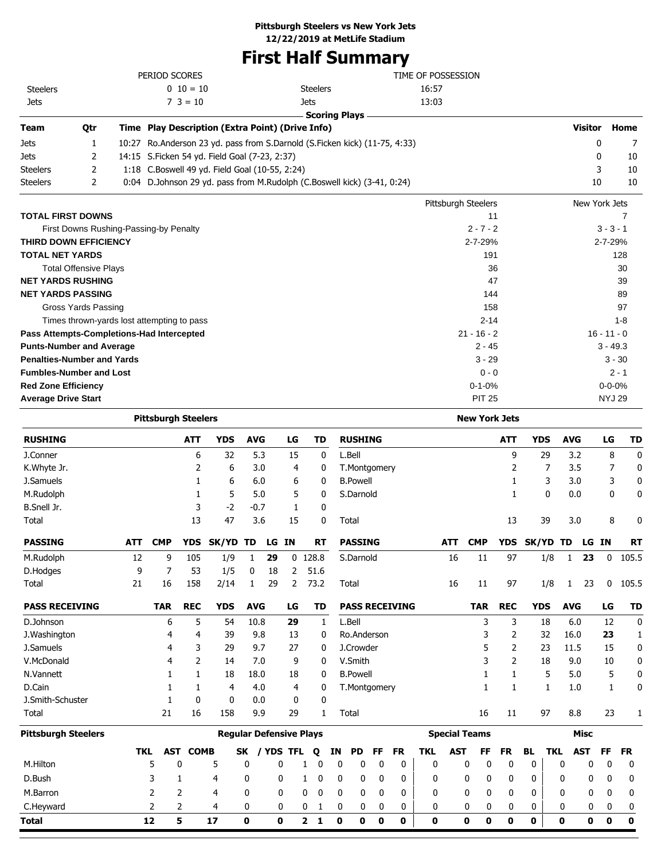# **First Half Summary**

|                            |                                   |       | PERIOD SCORES                                    |                                                                         | TIME OF POSSESSION   |                        |
|----------------------------|-----------------------------------|-------|--------------------------------------------------|-------------------------------------------------------------------------|----------------------|------------------------|
| <b>Steelers</b>            |                                   |       | $0 \t10 = 10$                                    | <b>Steelers</b>                                                         | 16:57                |                        |
| <b>Jets</b>                |                                   |       | $7 \t3 = 10$                                     | <b>Jets</b>                                                             | 13:03                |                        |
|                            |                                   |       |                                                  | <b>Scoring Plays</b>                                                    |                      |                        |
| <b>Team</b>                | Qtr                               |       | Time Play Description (Extra Point) (Drive Info) |                                                                         |                      | <b>Visitor</b><br>Home |
| <b>Jets</b>                | 1                                 | 10:27 |                                                  | Ro.Anderson 23 yd. pass from S.Darnold (S.Ficken kick) (11-75, 4:33)    |                      | 0                      |
| <b>Jets</b>                | 2                                 |       | 14:15 S. Ficken 54 yd. Field Goal (7-23, 2:37)   |                                                                         |                      | 0<br>10                |
| <b>Steelers</b>            | 2                                 |       | 1:18 C.Boswell 49 yd. Field Goal (10-55, 2:24)   |                                                                         |                      | 3<br>10                |
| <b>Steelers</b>            | 2                                 |       |                                                  | 0:04 D.Johnson 29 yd. pass from M.Rudolph (C.Boswell kick) (3-41, 0:24) |                      | 10<br>10               |
|                            |                                   |       |                                                  |                                                                         | Pittsburgh Steelers  | New York Jets          |
|                            | <b>TOTAL FIRST DOWNS</b>          |       |                                                  |                                                                         | 11                   |                        |
|                            |                                   |       | First Downs Rushing-Passing-by Penalty           |                                                                         | $2 - 7 - 2$          | $3 - 3 - 1$            |
|                            | <b>THIRD DOWN EFFICIENCY</b>      |       |                                                  |                                                                         | 2-7-29%              | 2-7-29%                |
| <b>TOTAL NET YARDS</b>     |                                   |       |                                                  |                                                                         | 191                  | 128                    |
|                            | <b>Total Offensive Plays</b>      |       |                                                  |                                                                         | 36                   | 30                     |
|                            | <b>NET YARDS RUSHING</b>          |       |                                                  |                                                                         | 47                   | 39                     |
|                            | <b>NET YARDS PASSING</b>          |       |                                                  |                                                                         | 144                  | 89                     |
|                            | Gross Yards Passing               |       |                                                  |                                                                         | 158                  | 97                     |
|                            |                                   |       | Times thrown-yards lost attempting to pass       |                                                                         | $2 - 14$             | $1 - 8$                |
|                            |                                   |       | Pass Attempts-Completions-Had Intercepted        |                                                                         | $21 - 16 - 2$        | $16 - 11 - 0$          |
|                            | <b>Punts-Number and Average</b>   |       |                                                  |                                                                         | $2 - 45$             | $3 - 49.3$             |
|                            | <b>Penalties-Number and Yards</b> |       |                                                  |                                                                         | $3 - 29$             | $3 - 30$               |
|                            | <b>Fumbles-Number and Lost</b>    |       |                                                  |                                                                         | $0 - 0$              | $2 - 1$                |
| <b>Red Zone Efficiency</b> |                                   |       |                                                  |                                                                         | $0 - 1 - 0%$         | $0 - 0 - 0%$           |
| <b>Average Drive Start</b> |                                   |       |                                                  |                                                                         | <b>PIT 25</b>        | <b>NYJ 29</b>          |
|                            |                                   |       | <b>Pittsburgh Steelers</b>                       |                                                                         | <b>New York Jets</b> |                        |

| <b>RUSHING</b>             |            |                | <b>ATT</b>     | <b>YDS</b>                     | <b>AVG</b>   |              | LG         |              | <b>TD</b>    |              | <b>RUSHING</b>  |           |   |                       |              |            |                      | <b>ATT</b>  |                | <b>YDS</b>   |            | <b>AVG</b> |              | LG          | <b>TD</b>   |
|----------------------------|------------|----------------|----------------|--------------------------------|--------------|--------------|------------|--------------|--------------|--------------|-----------------|-----------|---|-----------------------|--------------|------------|----------------------|-------------|----------------|--------------|------------|------------|--------------|-------------|-------------|
| J.Conner                   |            |                | 6              | 32                             | 5.3          |              | 15         |              | $\mathbf 0$  |              | L.Bell          |           |   |                       |              |            |                      |             | 9              | 29           |            | 3.2        |              | 8           | $\mathbf 0$ |
| K.Whyte Jr.                |            |                | 2              | 6                              | 3.0          |              | 4          |              | 0            |              | T.Montgomery    |           |   |                       |              |            |                      |             | 2              | 7            |            | 3.5        |              | 7           | 0           |
| J.Samuels                  |            |                | 1              | 6                              | 6.0          |              | 6          |              | 0            |              | <b>B.Powell</b> |           |   |                       |              |            |                      |             | 1              | 3            |            | 3.0        |              | 3           | $\mathbf 0$ |
| M.Rudolph                  |            |                | 1              | 5                              | 5.0          |              | 5          |              | 0            |              | S.Darnold       |           |   |                       |              |            |                      |             | 1              | $\mathbf{0}$ |            | 0.0        |              | 0           | 0           |
| B.Snell Jr.                |            |                | 3              | $-2$                           | $-0.7$       |              | 1          |              | 0            |              |                 |           |   |                       |              |            |                      |             |                |              |            |            |              |             |             |
| <b>Total</b>               |            |                | 13             | 47                             | 3.6          |              | 15         |              | 0            |              | Total           |           |   |                       |              |            |                      |             | 13             | 39           |            | 3.0        |              | 8           | 0           |
| <b>PASSING</b>             | <b>ATT</b> | <b>CMP</b>     | <b>YDS</b>     | SK/YD                          | <b>TD</b>    | LG IN        |            |              | <b>RT</b>    |              | <b>PASSING</b>  |           |   |                       |              | <b>ATT</b> | <b>CMP</b>           | <b>YDS</b>  |                | <b>SK/YD</b> |            | <b>TD</b>  | LG IN        |             | <b>RT</b>   |
| M.Rudolph                  | 12         | 9              | 105            | 1/9                            | 1            | 29           |            | $0$ 128.8    |              |              | S.Darnold       |           |   |                       |              | 16         | 11                   |             | 97             | 1/8          |            | 1          | 23           | 0           | 105.5       |
| D.Hodges                   | 9          | 7              | 53             | 1/5                            | 0            | 18           | 2          |              | 51.6         |              |                 |           |   |                       |              |            |                      |             |                |              |            |            |              |             |             |
| Total                      | 21         | 16             | 158            | 2/14                           | 1            | 29           | 2          |              | 73.2         |              | Total           |           |   |                       |              | 16         | 11                   |             | 97             | 1/8          |            | 1          | 23           | 0           | 105.5       |
| <b>PASS RECEIVING</b>      |            | <b>TAR</b>     | <b>REC</b>     | <b>YDS</b>                     | <b>AVG</b>   |              | LG         |              | <b>TD</b>    |              |                 |           |   | <b>PASS RECEIVING</b> |              |            | <b>TAR</b>           | <b>REC</b>  |                | <b>YDS</b>   |            | <b>AVG</b> |              | LG          | TD          |
| D.Johnson                  |            | 6              | 5              | 54                             | 10.8         |              | 29         |              | 1            |              | L.Bell          |           |   |                       |              |            | 3                    |             | 3              | 18           |            | 6.0        |              | 12          | $\mathbf 0$ |
| J.Washington               |            | 4              | 4              | 39                             | 9.8          |              | 13         |              | 0            |              | Ro.Anderson     |           |   |                       |              |            | 3                    |             | 2              | 32           |            | 16.0       |              | 23          | 1           |
| J.Samuels                  |            | 4              | 3              | 29                             | 9.7          |              | 27         |              | 0            |              | J.Crowder       |           |   |                       |              |            | 5                    |             | $\overline{2}$ | 23           |            | 11.5       |              | 15          | 0           |
| V.McDonald                 |            | 4              | $\overline{2}$ | 14                             | 7.0          |              | 9          |              | 0            |              | V.Smith         |           |   |                       |              |            | 3                    |             | $\overline{2}$ | 18           |            | 9.0        |              | 10          | 0           |
| N.Vannett                  |            |                | 1              | 18                             | 18.0         |              | 18         |              | 0            |              | <b>B.Powell</b> |           |   |                       |              |            |                      |             | 1              | 5            |            | 5.0        |              | 5           | 0           |
| D.Cain                     |            | 1              | 1              | 4                              | 4.0          |              | 4          |              | 0            |              | T.Montgomery    |           |   |                       |              |            | 1                    |             | 1              | $\mathbf{1}$ |            | 1.0        |              | 1           | 0           |
| J.Smith-Schuster           |            |                | $\mathbf{0}$   | $\mathbf{0}$                   | 0.0          |              | 0          |              | 0            |              |                 |           |   |                       |              |            |                      |             |                |              |            |            |              |             |             |
| Total                      |            | 21             | 16             | 158                            | 9.9          |              | 29         |              | 1            |              | Total           |           |   |                       |              |            | 16                   |             | 11             | 97           |            | 8.8        |              | 23          | 1           |
| <b>Pittsburgh Steelers</b> |            |                |                | <b>Regular Defensive Plays</b> |              |              |            |              |              |              |                 |           |   |                       |              |            | <b>Special Teams</b> |             |                |              |            |            | <b>Misc</b>  |             |             |
|                            | <b>TKL</b> | <b>AST</b>     | <b>COMB</b>    |                                | <b>SK</b>    | / YDS        | <b>TFL</b> |              | Q            | ΙN           | <b>PD</b>       | <b>FF</b> |   | <b>FR</b>             | <b>TKL</b>   | <b>AST</b> | FF                   | <b>FR</b>   |                | <b>BL</b>    | <b>TKL</b> | <b>AST</b> |              | <b>FF</b>   | <b>FR</b>   |
| M.Hilton                   |            | 5              | 0              | 5                              | 0            | $\mathbf{0}$ |            |              | 0            | 0            | 0               |           | 0 | 0                     | 0            |            | 0                    | $\mathbf 0$ | 0              | 0            | 0          |            | 0            | 0           | 0           |
| D.Bush                     |            | 3              | 1              | 4                              | 0            | 0            |            | 1            | 0            | 0            | 0               |           | 0 | 0                     | 0            |            | 0                    | 0           | 0              | 0            | 0          |            | 0            | 0           | 0           |
| M.Barron                   |            | $\overline{2}$ | 2              | 4                              | $\mathbf{0}$ |              | 0          | 0            | 0            | 0            | 0               |           | 0 | 0                     | 0            |            | 0                    | $\mathbf 0$ | $\mathbf{0}$   | 0            | 0          |            | $\mathbf{0}$ | $\mathbf 0$ | 0           |
| C.Heyward                  |            | 2              | 2              | 4                              | 0            |              | 0          | 0            | $\mathbf{1}$ | 0            | 0               |           | 0 | 0                     | 0            |            | 0                    | 0           | 0              | 0            | 0          |            | 0            | 0           | 0           |
| <b>Total</b>               |            | 12             | 5              | 17                             | $\bf{0}$     | $\bf{0}$     |            | $\mathbf{2}$ | 1            | $\mathbf{0}$ | 0               |           | 0 | 0                     | $\mathbf{0}$ |            | $\mathbf 0$          | O           | 0              | O            | 0          |            | O            | 0           | $\mathbf 0$ |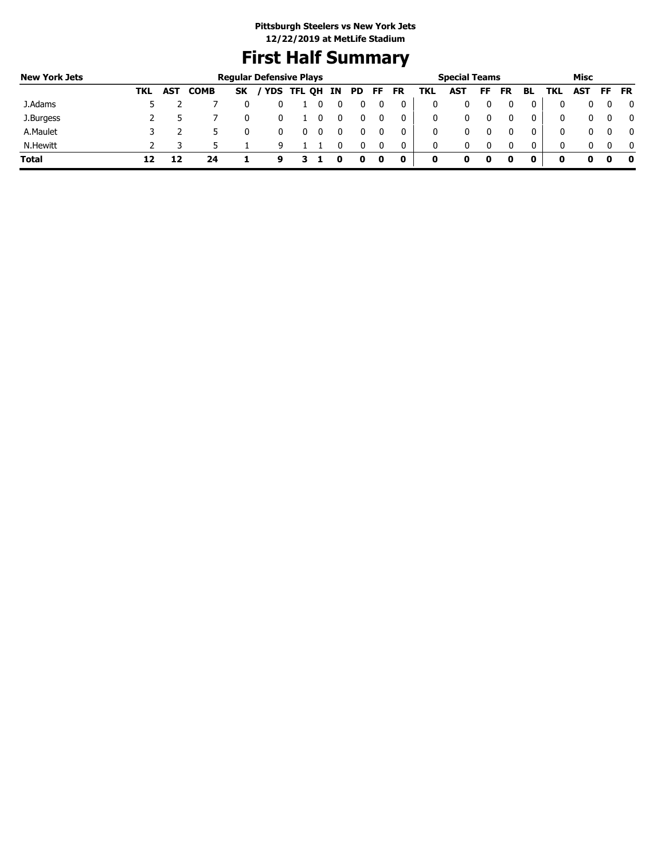# **First Half Summary**

| <b>New York Jets</b> |     |     |             |           | <b>Regular Defensive Plays</b> |            |    |     |    |           |     | <b>Special Teams</b> |    |           |    |            | Misc       |          |           |
|----------------------|-----|-----|-------------|-----------|--------------------------------|------------|----|-----|----|-----------|-----|----------------------|----|-----------|----|------------|------------|----------|-----------|
|                      | TKL | AST | <b>COMB</b> | <b>SK</b> |                                | YDS TFL QH | ΙN | PD. | FF | <b>FR</b> | TKL | <b>AST</b>           | FF | <b>FR</b> | BL | <b>TKL</b> | <b>AST</b> | FF       | <b>FR</b> |
| J.Adams              |     |     |             |           |                                |            |    |     |    |           | 0   |                      |    |           |    |            |            |          |           |
| J.Burgess            |     |     |             |           |                                |            |    |     |    |           | 0   |                      |    |           |    | 0          | 0          |          |           |
| A.Maulet             |     |     |             |           |                                |            |    |     |    |           | 0   |                      |    |           |    | 0          | 0          |          |           |
| N.Hewitt             |     |     |             |           | a                              |            |    |     |    | 0         | 0   | 0                    |    |           | 0  |            | 0          | $\Omega$ |           |
| <b>Total</b>         |     |     | 24          |           | 9                              |            |    |     | 0  | 0         | 0   |                      |    |           | 0  | 0          |            | o        |           |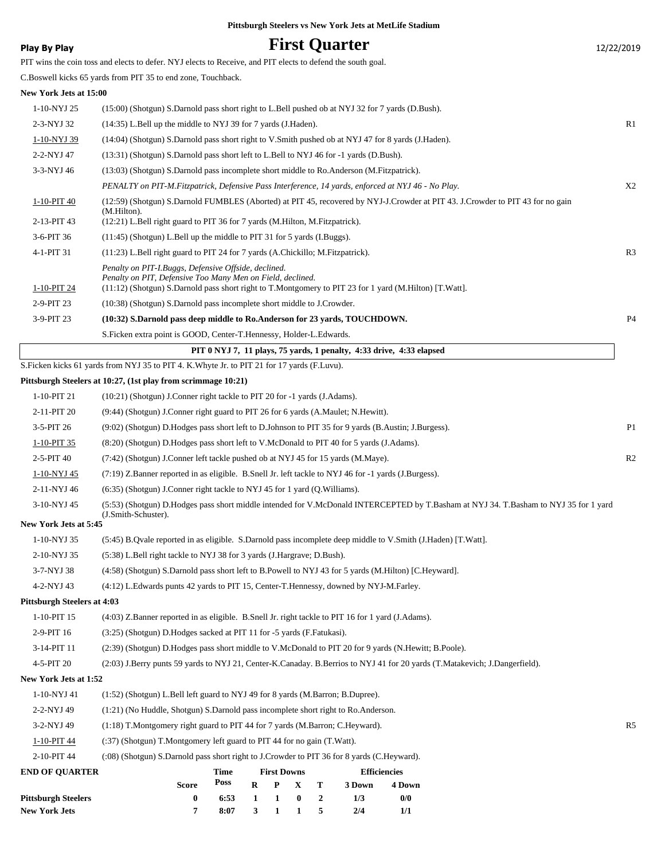### **Play By Play Play Play Play By Play First Quarter** 12/22/2019

|                                    | PIT wins the coin toss and elects to defer. NYJ elects to Receive, and PIT elects to defend the south goal.                                                                                                                  |              |              |                              |   |                  |                                                                      |                               |                                                                                                                                      |                |
|------------------------------------|------------------------------------------------------------------------------------------------------------------------------------------------------------------------------------------------------------------------------|--------------|--------------|------------------------------|---|------------------|----------------------------------------------------------------------|-------------------------------|--------------------------------------------------------------------------------------------------------------------------------------|----------------|
|                                    | C.Boswell kicks 65 yards from PIT 35 to end zone, Touchback.                                                                                                                                                                 |              |              |                              |   |                  |                                                                      |                               |                                                                                                                                      |                |
| New York Jets at 15:00             |                                                                                                                                                                                                                              |              |              |                              |   |                  |                                                                      |                               |                                                                                                                                      |                |
| 1-10-NYJ 25                        | (15:00) (Shotgun) S.Darnold pass short right to L.Bell pushed ob at NYJ 32 for 7 yards (D.Bush).                                                                                                                             |              |              |                              |   |                  |                                                                      |                               |                                                                                                                                      |                |
| 2-3-NYJ 32                         | (14:35) L.Bell up the middle to NYJ 39 for 7 yards (J.Haden).                                                                                                                                                                |              |              |                              |   |                  |                                                                      |                               |                                                                                                                                      | R1             |
| 1-10-NYJ 39                        | (14:04) (Shotgun) S.Darnold pass short right to V.Smith pushed ob at NYJ 47 for 8 yards (J.Haden).                                                                                                                           |              |              |                              |   |                  |                                                                      |                               |                                                                                                                                      |                |
| 2-2-NYJ 47                         | (13:31) (Shotgun) S.Darnold pass short left to L.Bell to NYJ 46 for -1 yards (D.Bush).                                                                                                                                       |              |              |                              |   |                  |                                                                      |                               |                                                                                                                                      |                |
| 3-3-NYJ 46                         | (13:03) (Shotgun) S.Darnold pass incomplete short middle to Ro.Anderson (M.Fitzpatrick).                                                                                                                                     |              |              |                              |   |                  |                                                                      |                               |                                                                                                                                      |                |
|                                    | PENALTY on PIT-M.Fitzpatrick, Defensive Pass Interference, 14 yards, enforced at NYJ 46 - No Play.                                                                                                                           |              |              |                              |   |                  |                                                                      |                               |                                                                                                                                      | X2             |
| 1-10-PIT 40                        | (M.Hilton).                                                                                                                                                                                                                  |              |              |                              |   |                  |                                                                      |                               | (12:59) (Shotgun) S.Darnold FUMBLES (Aborted) at PIT 45, recovered by NYJ-J.Crowder at PIT 43. J.Crowder to PIT 43 for no gain       |                |
| 2-13-PIT 43                        | (12:21) L.Bell right guard to PIT 36 for 7 yards (M.Hilton, M.Fitzpatrick).                                                                                                                                                  |              |              |                              |   |                  |                                                                      |                               |                                                                                                                                      |                |
| 3-6-PIT 36                         | $(11:45)$ (Shotgun) L.Bell up the middle to PIT 31 for 5 yards (I.Buggs).                                                                                                                                                    |              |              |                              |   |                  |                                                                      |                               |                                                                                                                                      |                |
| 4-1-PIT 31                         | (11:23) L.Bell right guard to PIT 24 for 7 yards (A.Chickillo; M.Fitzpatrick).                                                                                                                                               |              |              |                              |   |                  |                                                                      |                               |                                                                                                                                      | R <sub>3</sub> |
| 1-10-PIT 24                        | Penalty on PIT-I.Buggs, Defensive Offside, declined.<br>Penalty on PIT, Defensive Too Many Men on Field, declined.<br>(11:12) (Shotgun) S.Darnold pass short right to T.Montgomery to PIT 23 for 1 yard (M.Hilton) [T.Watt]. |              |              |                              |   |                  |                                                                      |                               |                                                                                                                                      |                |
| 2-9-PIT 23                         | (10:38) (Shotgun) S.Darnold pass incomplete short middle to J.Crowder.                                                                                                                                                       |              |              |                              |   |                  |                                                                      |                               |                                                                                                                                      |                |
| 3-9-PIT 23                         | (10:32) S.Darnold pass deep middle to Ro.Anderson for 23 yards, TOUCHDOWN.                                                                                                                                                   |              |              |                              |   |                  |                                                                      |                               |                                                                                                                                      | <b>P4</b>      |
|                                    | S. Ficken extra point is GOOD, Center-T. Hennessy, Holder-L. Edwards.                                                                                                                                                        |              |              |                              |   |                  |                                                                      |                               |                                                                                                                                      |                |
|                                    |                                                                                                                                                                                                                              |              |              |                              |   |                  | PIT 0 NYJ 7, 11 plays, 75 yards, 1 penalty, 4:33 drive, 4:33 elapsed |                               |                                                                                                                                      |                |
|                                    | S. Ficken kicks 61 yards from NYJ 35 to PIT 4. K. Whyte Jr. to PIT 21 for 17 yards (F. Luvu).                                                                                                                                |              |              |                              |   |                  |                                                                      |                               |                                                                                                                                      |                |
|                                    | Pittsburgh Steelers at 10:27, (1st play from scrimmage 10:21)                                                                                                                                                                |              |              |                              |   |                  |                                                                      |                               |                                                                                                                                      |                |
| 1-10-PIT 21                        | (10:21) (Shotgun) J.Conner right tackle to PIT 20 for -1 yards (J.Adams).                                                                                                                                                    |              |              |                              |   |                  |                                                                      |                               |                                                                                                                                      |                |
| 2-11-PIT 20                        | (9:44) (Shotgun) J.Conner right guard to PIT 26 for 6 yards (A.Maulet; N.Hewitt).                                                                                                                                            |              |              |                              |   |                  |                                                                      |                               |                                                                                                                                      |                |
| 3-5-PIT 26                         | (9:02) (Shotgun) D.Hodges pass short left to D.Johnson to PIT 35 for 9 yards (B.Austin; J.Burgess).                                                                                                                          |              |              |                              |   |                  |                                                                      |                               |                                                                                                                                      | P <sub>1</sub> |
| 1-10-PIT 35                        | (8:20) (Shotgun) D.Hodges pass short left to V.McDonald to PIT 40 for 5 yards (J.Adams).                                                                                                                                     |              |              |                              |   |                  |                                                                      |                               |                                                                                                                                      |                |
| 2-5-PIT 40                         | (7:42) (Shotgun) J.Conner left tackle pushed ob at NYJ 45 for 15 yards (M.Maye).                                                                                                                                             |              |              |                              |   |                  |                                                                      |                               |                                                                                                                                      | R2             |
| 1-10-NYJ 45                        | (7:19) Z.Banner reported in as eligible. B.Snell Jr. left tackle to NYJ 46 for -1 yards (J.Burgess).                                                                                                                         |              |              |                              |   |                  |                                                                      |                               |                                                                                                                                      |                |
| 2-11-NYJ 46                        | (6:35) (Shotgun) J.Conner right tackle to NYJ 45 for 1 yard (Q.Williams).                                                                                                                                                    |              |              |                              |   |                  |                                                                      |                               |                                                                                                                                      |                |
| 3-10-NYJ 45                        | (J.Smith-Schuster).                                                                                                                                                                                                          |              |              |                              |   |                  |                                                                      |                               | (5:53) (Shotgun) D.Hodges pass short middle intended for V.McDonald INTERCEPTED by T.Basham at NYJ 34. T.Basham to NYJ 35 for 1 yard |                |
| New York Jets at 5:45              |                                                                                                                                                                                                                              |              |              |                              |   |                  |                                                                      |                               |                                                                                                                                      |                |
| 1-10-NYJ 35                        | (5:45) B.Qvale reported in as eligible. S.Darnold pass incomplete deep middle to V.Smith (J.Haden) [T.Watt].                                                                                                                 |              |              |                              |   |                  |                                                                      |                               |                                                                                                                                      |                |
| 2-10-NYJ 35                        | (5:38) L.Bell right tackle to NYJ 38 for 3 yards (J.Hargrave; D.Bush).                                                                                                                                                       |              |              |                              |   |                  |                                                                      |                               |                                                                                                                                      |                |
| 3-7-NYJ 38                         | (4:58) (Shotgun) S.Darnold pass short left to B.Powell to NYJ 43 for 5 yards (M.Hilton) [C.Heyward].                                                                                                                         |              |              |                              |   |                  |                                                                      |                               |                                                                                                                                      |                |
| 4-2-NYJ 43                         | (4:12) L.Edwards punts 42 yards to PIT 15, Center-T.Hennessy, downed by NYJ-M.Farley.                                                                                                                                        |              |              |                              |   |                  |                                                                      |                               |                                                                                                                                      |                |
| <b>Pittsburgh Steelers at 4:03</b> |                                                                                                                                                                                                                              |              |              |                              |   |                  |                                                                      |                               |                                                                                                                                      |                |
| 1-10-PIT 15                        | (4:03) Z.Banner reported in as eligible. B.Snell Jr. right tackle to PIT 16 for 1 yard (J.Adams).                                                                                                                            |              |              |                              |   |                  |                                                                      |                               |                                                                                                                                      |                |
| 2-9-PIT 16                         | (3:25) (Shotgun) D.Hodges sacked at PIT 11 for -5 yards (F.Fatukasi).                                                                                                                                                        |              |              |                              |   |                  |                                                                      |                               |                                                                                                                                      |                |
| 3-14-PIT 11                        | (2:39) (Shotgun) D.Hodges pass short middle to V.McDonald to PIT 20 for 9 yards (N.Hewitt; B.Poole).                                                                                                                         |              |              |                              |   |                  |                                                                      |                               |                                                                                                                                      |                |
| 4-5-PIT 20                         |                                                                                                                                                                                                                              |              |              |                              |   |                  |                                                                      |                               | (2:03) J.Berry punts 59 yards to NYJ 21, Center-K.Canaday. B.Berrios to NYJ 41 for 20 yards (T.Matakevich; J.Dangerfield).           |                |
| New York Jets at 1:52              |                                                                                                                                                                                                                              |              |              |                              |   |                  |                                                                      |                               |                                                                                                                                      |                |
| 1-10-NYJ 41                        | (1:52) (Shotgun) L.Bell left guard to NYJ 49 for 8 yards (M.Barron; B.Dupree).                                                                                                                                               |              |              |                              |   |                  |                                                                      |                               |                                                                                                                                      |                |
| 2-2-NYJ 49                         | (1:21) (No Huddle, Shotgun) S.Darnold pass incomplete short right to Ro.Anderson.                                                                                                                                            |              |              |                              |   |                  |                                                                      |                               |                                                                                                                                      |                |
| 3-2-NYJ 49                         | (1:18) T.Montgomery right guard to PIT 44 for 7 yards (M.Barron; C.Heyward).                                                                                                                                                 |              |              |                              |   |                  |                                                                      |                               |                                                                                                                                      | R <sub>5</sub> |
| 1-10-PIT 44                        | (:37) (Shotgun) T.Montgomery left guard to PIT 44 for no gain (T.Watt).                                                                                                                                                      |              |              |                              |   |                  |                                                                      |                               |                                                                                                                                      |                |
| 2-10-PIT 44                        | (:08) (Shotgun) S.Darnold pass short right to J.Crowder to PIT 36 for 8 yards (C.Heyward).                                                                                                                                   |              |              |                              |   |                  |                                                                      |                               |                                                                                                                                      |                |
| <b>END OF QUARTER</b>              | <b>Score</b>                                                                                                                                                                                                                 | Time<br>Poss | $\mathbf R$  | <b>First Downs</b><br>P<br>X | т |                  | 3 Down                                                               | <b>Efficiencies</b><br>4 Down |                                                                                                                                      |                |
| <b>Pittsburgh Steelers</b>         | $\boldsymbol{0}$                                                                                                                                                                                                             | 6:53         | $\mathbf{1}$ | 1<br>$\boldsymbol{0}$        |   | $\boldsymbol{2}$ | 1/3                                                                  | 0/0                           |                                                                                                                                      |                |
| <b>New York Jets</b>               | 7                                                                                                                                                                                                                            | 8:07         | 3            | $\mathbf{1}$<br>1            |   | 5                | 2/4                                                                  | 1/1                           |                                                                                                                                      |                |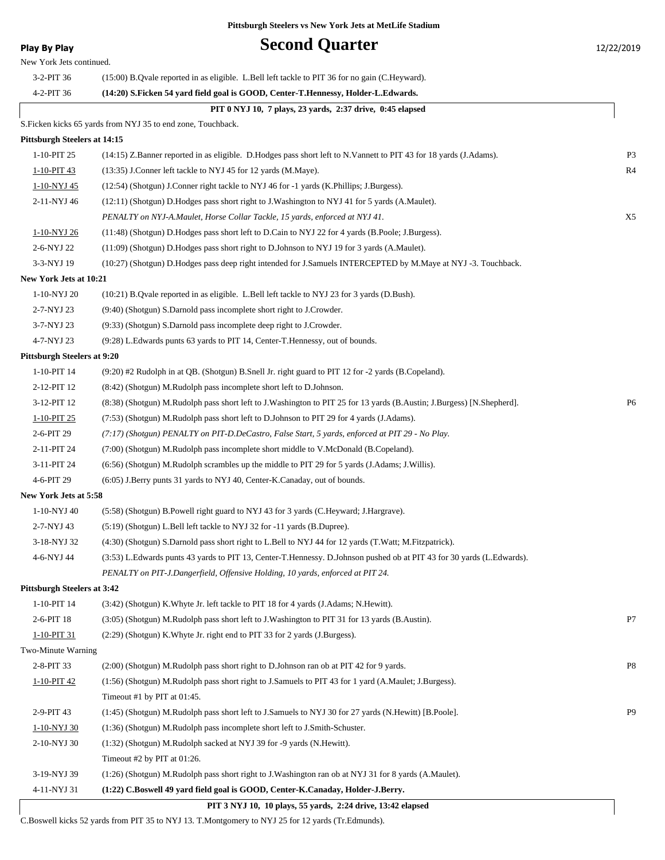### **Play By Play Play Second Quarter** 12/22/2019 New York Jets continued. 3-2-PIT 36 (15:00) B.Qvale reported in as eligible. L.Bell left tackle to PIT 36 for no gain (C.Heyward). 4-2-PIT 36 **(14:20) S.Ficken 54 yard field goal is GOOD, Center-T.Hennessy, Holder-L.Edwards. PIT 0 NYJ 10, 7 plays, 23 yards, 2:37 drive, 0:45 elapsed** S.Ficken kicks 65 yards from NYJ 35 to end zone, Touchback. **Pittsburgh Steelers at 14:15** 1-10-PIT 25 (14:15) Z.Banner reported in as eligible. D.Hodges pass short left to N.Vannett to PIT 43 for 18 yards (J.Adams). P3 1-10-PIT 43 (13:35) J.Conner left tackle to NYJ 45 for 12 yards (M.Maye). R4 1-10-NYJ 45 (12:54) (Shotgun) J.Conner right tackle to NYJ 46 for -1 yards (K.Phillips; J.Burgess). 2-11-NYJ 46 (12:11) (Shotgun) D.Hodges pass short right to J.Washington to NYJ 41 for 5 yards (A.Maulet). *PENALTY on NYJ-A.Maulet, Horse Collar Tackle, 15 yards, enforced at NYJ 41.* X5 1-10-NYJ 26 (11:48) (Shotgun) D.Hodges pass short left to D.Cain to NYJ 22 for 4 yards (B.Poole; J.Burgess). 2-6-NYJ 22 (11:09) (Shotgun) D.Hodges pass short right to D.Johnson to NYJ 19 for 3 yards (A.Maulet). 3-3-NYJ 19 (10:27) (Shotgun) D.Hodges pass deep right intended for J.Samuels INTERCEPTED by M.Maye at NYJ -3. Touchback. **New York Jets at 10:21** 1-10-NYJ 20 (10:21) B.Qvale reported in as eligible. L.Bell left tackle to NYJ 23 for 3 yards (D.Bush). 2-7-NYJ 23 (9:40) (Shotgun) S.Darnold pass incomplete short right to J.Crowder. 3-7-NYJ 23 (9:33) (Shotgun) S.Darnold pass incomplete deep right to J.Crowder. 4-7-NYJ 23 (9:28) L.Edwards punts 63 yards to PIT 14, Center-T.Hennessy, out of bounds. **Pittsburgh Steelers at 9:20** 1-10-PIT 14 (9:20) #2 Rudolph in at QB. (Shotgun) B.Snell Jr. right guard to PIT 12 for -2 yards (B.Copeland). 2-12-PIT 12 (8:42) (Shotgun) M.Rudolph pass incomplete short left to D.Johnson. 3-12-PIT 12 (8:38) (Shotgun) M.Rudolph pass short left to J.Washington to PIT 25 for 13 yards (B.Austin; J.Burgess) [N.Shepherd]. P6 1-10-PIT 25 (7:53) (Shotgun) M.Rudolph pass short left to D.Johnson to PIT 29 for 4 yards (J.Adams). 2-6-PIT 29 *(7:17) (Shotgun) PENALTY on PIT-D.DeCastro, False Start, 5 yards, enforced at PIT 29 - No Play.* 2-11-PIT 24 (7:00) (Shotgun) M.Rudolph pass incomplete short middle to V.McDonald (B.Copeland). 3-11-PIT 24 (6:56) (Shotgun) M.Rudolph scrambles up the middle to PIT 29 for 5 yards (J.Adams; J.Willis). 4-6-PIT 29 (6:05) J.Berry punts 31 yards to NYJ 40, Center-K.Canaday, out of bounds. **New York Jets at 5:58** 1-10-NYJ 40 (5:58) (Shotgun) B.Powell right guard to NYJ 43 for 3 yards (C.Heyward; J.Hargrave). 2-7-NYJ 43 (5:19) (Shotgun) L.Bell left tackle to NYJ 32 for -11 yards (B.Dupree). 3-18-NYJ 32 (4:30) (Shotgun) S.Darnold pass short right to L.Bell to NYJ 44 for 12 yards (T.Watt; M.Fitzpatrick). 4-6-NYJ 44 (3:53) L.Edwards punts 43 yards to PIT 13, Center-T.Hennessy. D.Johnson pushed ob at PIT 43 for 30 yards (L.Edwards). *PENALTY on PIT-J.Dangerfield, Offensive Holding, 10 yards, enforced at PIT 24.* **Pittsburgh Steelers at 3:42** 1-10-PIT 14 (3:42) (Shotgun) K.Whyte Jr. left tackle to PIT 18 for 4 yards (J.Adams; N.Hewitt). 2-6-PIT 18 (3:05) (Shotgun) M.Rudolph pass short left to J.Washington to PIT 31 for 13 yards (B.Austin). P7 1-10-PIT 31 (2:29) (Shotgun) K.Whyte Jr. right end to PIT 33 for 2 yards (J.Burgess). Two-Minute Warning 2-8-PIT 33 (2:00) (Shotgun) M.Rudolph pass short right to D.Johnson ran ob at PIT 42 for 9 yards. P8 1-10-PIT 42 (1:56) (Shotgun) M.Rudolph pass short right to J.Samuels to PIT 43 for 1 yard (A.Maulet; J.Burgess). Timeout #1 by PIT at 01:45. 2-9-PIT 43 (1:45) (Shotgun) M.Rudolph pass short left to J.Samuels to NYJ 30 for 27 yards (N.Hewitt) [B.Poole]. P9 1-10-NYJ 30 (1:36) (Shotgun) M.Rudolph pass incomplete short left to J.Smith-Schuster. 2-10-NYJ 30 (1:32) (Shotgun) M.Rudolph sacked at NYJ 39 for -9 yards (N.Hewitt). Timeout #2 by PIT at 01:26. 3-19-NYJ 39 (1:26) (Shotgun) M.Rudolph pass short right to J.Washington ran ob at NYJ 31 for 8 yards (A.Maulet). 4-11-NYJ 31 **(1:22) C.Boswell 49 yard field goal is GOOD, Center-K.Canaday, Holder-J.Berry.**

#### **PIT 3 NYJ 10, 10 plays, 55 yards, 2:24 drive, 13:42 elapsed**

C.Boswell kicks 52 yards from PIT 35 to NYJ 13. T.Montgomery to NYJ 25 for 12 yards (Tr.Edmunds).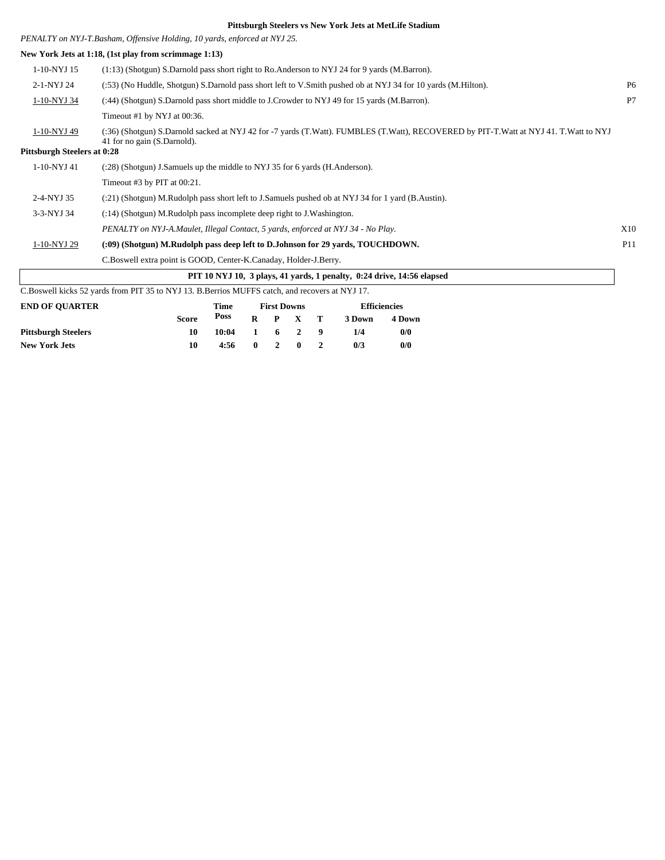*PENALTY on NYJ-T.Basham, Offensive Holding, 10 yards, enforced at NYJ 25.*

|                                    | New York Jets at 1:18, (1st play from scrimmage 1:13)                                                                                                               |                |  |  |  |  |  |
|------------------------------------|---------------------------------------------------------------------------------------------------------------------------------------------------------------------|----------------|--|--|--|--|--|
| 1-10-NYJ 15                        | $(1:13)$ (Shotgun) S.Darnold pass short right to Ro.Anderson to NYJ 24 for 9 yards (M.Barron).                                                                      |                |  |  |  |  |  |
| 2-1-NYJ 24                         | (:53) (No Huddle, Shotgun) S.Darnold pass short left to V.Smith pushed ob at NYJ 34 for 10 yards (M.Hilton).                                                        | P <sub>6</sub> |  |  |  |  |  |
| 1-10-NYJ 34                        | P7<br>(:44) (Shotgun) S.Darnold pass short middle to J.Crowder to NYJ 49 for 15 yards (M.Barron).                                                                   |                |  |  |  |  |  |
|                                    | Timeout #1 by NYJ at $00:36$ .                                                                                                                                      |                |  |  |  |  |  |
| 1-10-NYJ 49                        | (:36) (Shotgun) S.Darnold sacked at NYJ 42 for -7 yards (T.Watt). FUMBLES (T.Watt), RECOVERED by PIT-T.Watt at NYJ 41. T.Watt to NYJ<br>41 for no gain (S.Darnold). |                |  |  |  |  |  |
| <b>Pittsburgh Steelers at 0:28</b> |                                                                                                                                                                     |                |  |  |  |  |  |
| 1-10-NYJ 41                        | (:28) (Shotgun) J.Samuels up the middle to NYJ 35 for 6 yards (H.Anderson).                                                                                         |                |  |  |  |  |  |
|                                    | Timeout #3 by PIT at $00:21$ .                                                                                                                                      |                |  |  |  |  |  |
| 2-4-NYJ 35                         | (:21) (Shotgun) M.Rudolph pass short left to J.Samuels pushed ob at NYJ 34 for 1 yard (B.Austin).                                                                   |                |  |  |  |  |  |
| 3-3-NYJ 34                         | (:14) (Shotgun) M.Rudolph pass incomplete deep right to J.Washington.                                                                                               |                |  |  |  |  |  |
|                                    | PENALTY on NYJ-A.Maulet, Illegal Contact, 5 yards, enforced at NYJ 34 - No Play.                                                                                    | X10            |  |  |  |  |  |
| 1-10-NYJ 29                        | (:09) (Shotgun) M.Rudolph pass deep left to D.Johnson for 29 yards, TOUCHDOWN.                                                                                      | P11            |  |  |  |  |  |
|                                    | C.Boswell extra point is GOOD, Center-K.Canaday, Holder-J.Berry.                                                                                                    |                |  |  |  |  |  |
|                                    | PIT 10 NYJ 10, 3 plays, 41 yards, 1 penalty, 0:24 drive, 14:56 elapsed                                                                                              |                |  |  |  |  |  |

C.Boswell kicks 52 yards from PIT 35 to NYJ 13. B.Berrios MUFFS catch, and recovers at NYJ 17.

| <b>END OF OUARTER</b>      |              | Time  |              | <b>First Downs</b> |                 | <b>Efficiencies</b> |        |  |
|----------------------------|--------------|-------|--------------|--------------------|-----------------|---------------------|--------|--|
|                            | <b>Score</b> | Poss  |              |                    | $R$ $P$ $X$ $T$ | 3 Down              | 4 Down |  |
| <b>Pittsburgh Steelers</b> | 10           | 10:04 | $\mathbf{1}$ |                    | 6 2 9           | 1/4                 | 0/0    |  |
| <b>New York Jets</b>       | 10           | 4:56  | $\mathbf{0}$ | $2 \quad 0$        |                 | 0/3                 | 0/0    |  |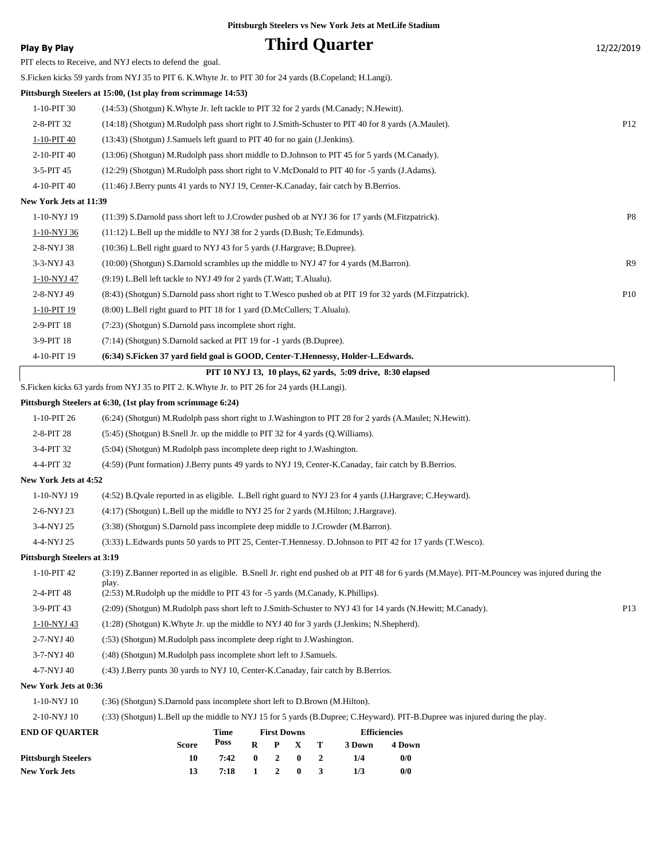|                                    | Pittsburgh Steelers vs New York Jets at MetLife Stadium                                                                                       |                 |
|------------------------------------|-----------------------------------------------------------------------------------------------------------------------------------------------|-----------------|
| <b>Play By Play</b>                | <b>Third Quarter</b>                                                                                                                          | 12/22/2019      |
|                                    | PIT elects to Receive, and NYJ elects to defend the goal.                                                                                     |                 |
|                                    | S. Ficken kicks 59 yards from NYJ 35 to PIT 6. K. Whyte Jr. to PIT 30 for 24 yards (B. Copeland; H. Langi).                                   |                 |
|                                    | Pittsburgh Steelers at 15:00, (1st play from scrimmage 14:53)                                                                                 |                 |
| 1-10-PIT 30                        | (14:53) (Shotgun) K. Whyte Jr. left tackle to PIT 32 for 2 yards (M. Canady; N. Hewitt).                                                      |                 |
| 2-8-PIT 32                         | (14:18) (Shotgun) M.Rudolph pass short right to J.Smith-Schuster to PIT 40 for 8 yards (A.Maulet).                                            | P <sub>12</sub> |
| 1-10-PIT 40                        | (13:43) (Shotgun) J.Samuels left guard to PIT 40 for no gain (J.Jenkins).                                                                     |                 |
| 2-10-PIT 40                        | (13:06) (Shotgun) M.Rudolph pass short middle to D.Johnson to PIT 45 for 5 yards (M.Canady).                                                  |                 |
| 3-5-PIT 45                         | (12:29) (Shotgun) M.Rudolph pass short right to V.McDonald to PIT 40 for -5 yards (J.Adams).                                                  |                 |
| 4-10-PIT 40                        | (11:46) J.Berry punts 41 yards to NYJ 19, Center-K.Canaday, fair catch by B.Berrios.                                                          |                 |
| New York Jets at 11:39             |                                                                                                                                               |                 |
| 1-10-NYJ 19                        | (11:39) S.Darnold pass short left to J.Crowder pushed ob at NYJ 36 for 17 yards (M.Fitzpatrick).                                              | P <sub>8</sub>  |
| 1-10-NYJ 36                        | (11:12) L.Bell up the middle to NYJ 38 for 2 yards (D.Bush; Te.Edmunds).                                                                      |                 |
| 2-8-NYJ 38                         | (10:36) L.Bell right guard to NYJ 43 for 5 yards (J.Hargrave; B.Dupree).                                                                      |                 |
| 3-3-NYJ 43                         | (10:00) (Shotgun) S.Darnold scrambles up the middle to NYJ 47 for 4 yards (M.Barron).                                                         | R <sub>9</sub>  |
| 1-10-NYJ 47                        | (9:19) L.Bell left tackle to NYJ 49 for 2 yards (T.Watt; T.Alualu).                                                                           |                 |
| 2-8-NYJ 49                         | (8:43) (Shotgun) S.Darnold pass short right to T.Wesco pushed ob at PIT 19 for 32 yards (M.Fitzpatrick).                                      | <b>P10</b>      |
| 1-10-PIT 19                        | (8:00) L.Bell right guard to PIT 18 for 1 yard (D.McCullers; T.Alualu).                                                                       |                 |
| 2-9-PIT 18                         | (7:23) (Shotgun) S.Darnold pass incomplete short right.                                                                                       |                 |
| 3-9-PIT 18                         | (7:14) (Shotgun) S.Darnold sacked at PIT 19 for -1 yards (B.Dupree).                                                                          |                 |
| 4-10-PIT 19                        | (6:34) S.Ficken 37 yard field goal is GOOD, Center-T.Hennessy, Holder-L.Edwards.                                                              |                 |
|                                    | PIT 10 NYJ 13, 10 plays, 62 yards, 5:09 drive, 8:30 elapsed                                                                                   |                 |
|                                    | S. Ficken kicks 63 yards from NYJ 35 to PIT 2. K. Whyte Jr. to PIT 26 for 24 yards (H. Langi).                                                |                 |
|                                    | Pittsburgh Steelers at 6:30, (1st play from scrimmage 6:24)                                                                                   |                 |
| 1-10-PIT 26                        | (6:24) (Shotgun) M.Rudolph pass short right to J.Washington to PIT 28 for 2 yards (A.Maulet; N.Hewitt).                                       |                 |
| 2-8-PIT 28                         | (5:45) (Shotgun) B.Snell Jr. up the middle to PIT 32 for 4 yards (Q.Williams).                                                                |                 |
| 3-4-PIT 32                         | (5:04) (Shotgun) M.Rudolph pass incomplete deep right to J.Washington.                                                                        |                 |
| 4-4-PIT 32                         | (4:59) (Punt formation) J.Berry punts 49 yards to NYJ 19, Center-K.Canaday, fair catch by B.Berrios.                                          |                 |
| New York Jets at 4:52              |                                                                                                                                               |                 |
| 1-10-NYJ 19                        | (4:52) B.Qvale reported in as eligible. L.Bell right guard to NYJ 23 for 4 yards (J.Hargrave; C.Heyward).                                     |                 |
| 2-6-NYJ 23                         | (4:17) (Shotgun) L.Bell up the middle to NYJ 25 for 2 yards (M.Hilton; J.Hargrave).                                                           |                 |
| 3-4-NYJ 25                         | (3:38) (Shotgun) S.Darnold pass incomplete deep middle to J.Crowder (M.Barron).                                                               |                 |
| 4-4-NYJ 25                         | (3:33) L.Edwards punts 50 yards to PIT 25, Center-T.Hennessy. D.Johnson to PIT 42 for 17 yards (T.Wesco).                                     |                 |
| <b>Pittsburgh Steelers at 3:19</b> |                                                                                                                                               |                 |
| 1-10-PIT 42                        | (3:19) Z.Banner reported in as eligible. B.Snell Jr. right end pushed ob at PIT 48 for 6 yards (M.Maye). PIT-M.Pouncey was injured during the |                 |
| 2-4-PIT 48                         | play.<br>(2:53) M.Rudolph up the middle to PIT 43 for -5 yards (M.Canady, K.Phillips).                                                        |                 |
| 3-9-PIT 43                         | (2:09) (Shotgun) M.Rudolph pass short left to J.Smith-Schuster to NYJ 43 for 14 yards (N.Hewitt; M.Canady).                                   | P <sub>13</sub> |
| 1-10-NYJ 43                        | (1:28) (Shotgun) K. Whyte Jr. up the middle to NYJ 40 for 3 yards (J. Jenkins; N. Shepherd).                                                  |                 |
| 2-7-NYJ 40                         | (:53) (Shotgun) M.Rudolph pass incomplete deep right to J.Washington.                                                                         |                 |

- 3-7-NYJ 40 (:48) (Shotgun) M.Rudolph pass incomplete short left to J.Samuels.
- 4-7-NYJ 40 (:43) J.Berry punts 30 yards to NYJ 10, Center-K.Canaday, fair catch by B.Berrios.

#### **New York Jets at 0:36**

1-10-NYJ 10 (:36) (Shotgun) S.Darnold pass incomplete short left to D.Brown (M.Hilton).

2-10-NYJ 10 (:33) (Shotgun) L.Bell up the middle to NYJ 15 for 5 yards (B.Dupree; C.Heyward). PIT-B.Dupree was injured during the play.

|              | Time |  |                             | <b>Efficiencies</b>                                                                           |        |  |
|--------------|------|--|-----------------------------|-----------------------------------------------------------------------------------------------|--------|--|
| <b>Score</b> | Poss |  |                             | 3 Down                                                                                        | 4 Down |  |
| 10           | 7:42 |  |                             | 1/4                                                                                           | 0/0    |  |
| 13           | 7:18 |  |                             | 1/3                                                                                           | 0/0    |  |
|              |      |  | <b>First Downs</b><br>1 2 0 | $R$ $P$ $X$ $T$<br>$\begin{array}{cccc} 0 & 2 & 0 & 2 \end{array}$<br>$\overline{\mathbf{3}}$ |        |  |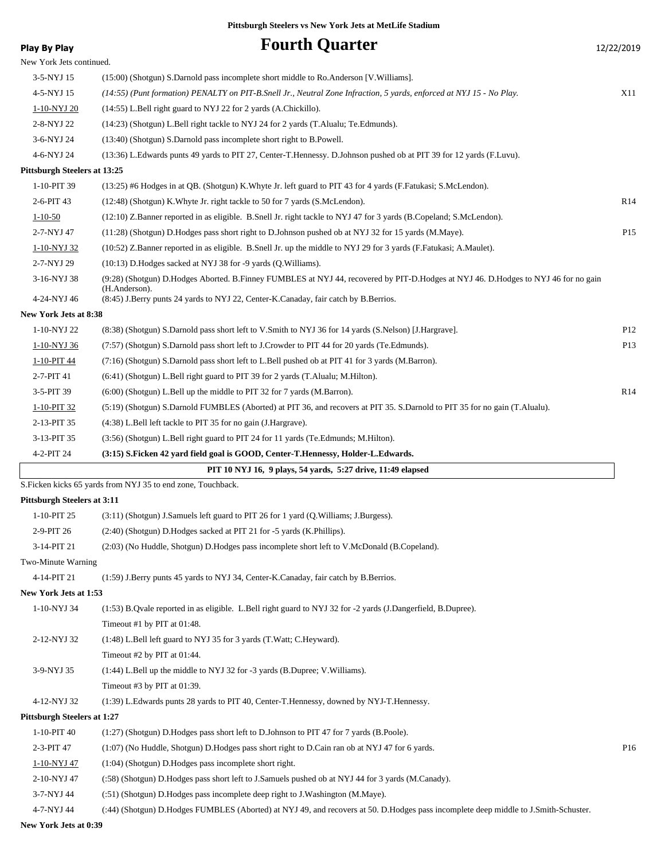| <b>Play By Play</b>                | <b>Fourth Quarter</b>                                                                                                                               | 12/22/2019      |
|------------------------------------|-----------------------------------------------------------------------------------------------------------------------------------------------------|-----------------|
| New York Jets continued.           |                                                                                                                                                     |                 |
| 3-5-NYJ 15                         | (15:00) (Shotgun) S.Darnold pass incomplete short middle to Ro.Anderson [V.Williams].                                                               |                 |
| 4-5-NYJ 15                         | (14:55) (Punt formation) PENALTY on PIT-B.Snell Jr., Neutral Zone Infraction, 5 yards, enforced at NYJ 15 - No Play.                                | X11             |
| 1-10-NYJ 20                        | (14:55) L.Bell right guard to NYJ 22 for 2 yards (A.Chickillo).                                                                                     |                 |
| 2-8-NYJ 22                         | (14:23) (Shotgun) L.Bell right tackle to NYJ 24 for 2 yards (T.Alualu; Te.Edmunds).                                                                 |                 |
| 3-6-NYJ 24                         | (13:40) (Shotgun) S.Darnold pass incomplete short right to B.Powell.                                                                                |                 |
| 4-6-NYJ 24                         | (13:36) L.Edwards punts 49 yards to PIT 27, Center-T.Hennessy. D.Johnson pushed ob at PIT 39 for 12 yards (F.Luvu).                                 |                 |
| Pittsburgh Steelers at 13:25       |                                                                                                                                                     |                 |
| 1-10-PIT 39                        | (13:25) #6 Hodges in at QB. (Shotgun) K. Whyte Jr. left guard to PIT 43 for 4 yards (F. Fatukasi; S. McLendon).                                     |                 |
| 2-6-PIT 43                         | (12:48) (Shotgun) K. Whyte Jr. right tackle to 50 for 7 yards (S. McLendon).                                                                        | R14             |
| $1 - 10 - 50$                      | (12:10) Z.Banner reported in as eligible. B.Snell Jr. right tackle to NYJ 47 for 3 yards (B.Copeland; S.McLendon).                                  |                 |
| 2-7-NYJ 47                         | (11:28) (Shotgun) D.Hodges pass short right to D.Johnson pushed ob at NYJ 32 for 15 yards (M.Maye).                                                 | P <sub>15</sub> |
| 1-10-NYJ 32                        | (10:52) Z.Banner reported in as eligible. B.Snell Jr. up the middle to NYJ 29 for 3 yards (F.Fatukasi; A.Maulet).                                   |                 |
| 2-7-NYJ 29                         | (10:13) D.Hodges sacked at NYJ 38 for -9 yards (Q.Williams).                                                                                        |                 |
| 3-16-NYJ 38                        | (9:28) (Shotgun) D.Hodges Aborted. B.Finney FUMBLES at NYJ 44, recovered by PIT-D.Hodges at NYJ 46. D.Hodges to NYJ 46 for no gain<br>(H.Anderson). |                 |
| 4-24-NYJ 46                        | (8:45) J.Berry punts 24 yards to NYJ 22, Center-K.Canaday, fair catch by B.Berrios.                                                                 |                 |
| New York Jets at 8:38              |                                                                                                                                                     |                 |
| 1-10-NYJ 22                        | (8:38) (Shotgun) S.Darnold pass short left to V.Smith to NYJ 36 for 14 yards (S.Nelson) [J.Hargrave].                                               | P <sub>12</sub> |
| 1-10-NYJ 36                        | (7:57) (Shotgun) S.Darnold pass short left to J.Crowder to PIT 44 for 20 yards (Te.Edmunds).                                                        | P13             |
| 1-10-PIT 44                        | (7:16) (Shotgun) S.Darnold pass short left to L.Bell pushed ob at PIT 41 for 3 yards (M.Barron).                                                    |                 |
| 2-7-PIT 41                         | (6:41) (Shotgun) L.Bell right guard to PIT 39 for 2 yards (T.Alualu; M.Hilton).                                                                     |                 |
| 3-5-PIT 39                         | (6:00) (Shotgun) L.Bell up the middle to PIT 32 for 7 yards (M.Barron).                                                                             | R14             |
| $1-10-PIT$ 32                      | (5:19) (Shotgun) S.Darnold FUMBLES (Aborted) at PIT 36, and recovers at PIT 35. S.Darnold to PIT 35 for no gain (T.Alualu).                         |                 |
| 2-13-PIT 35                        | (4:38) L.Bell left tackle to PIT 35 for no gain (J.Hargrave).                                                                                       |                 |
| 3-13-PIT 35                        | (3:56) (Shotgun) L.Bell right guard to PIT 24 for 11 yards (Te.Edmunds; M.Hilton).                                                                  |                 |
| 4-2-PIT 24                         | (3:15) S.Ficken 42 yard field goal is GOOD, Center-T.Hennessy, Holder-L.Edwards.                                                                    |                 |
|                                    | PIT 10 NYJ 16, 9 plays, 54 yards, 5:27 drive, 11:49 elapsed                                                                                         |                 |
|                                    | S. Ficken kicks 65 yards from NYJ 35 to end zone, Touchback.                                                                                        |                 |
| <b>Pittsburgh Steelers at 3:11</b> |                                                                                                                                                     |                 |
| 1-10-PIT 25                        | (3:11) (Shotgun) J.Samuels left guard to PIT 26 for 1 yard (Q.Williams; J.Burgess).                                                                 |                 |
| 2-9-PIT 26                         | (2:40) (Shotgun) D.Hodges sacked at PIT 21 for -5 yards (K.Phillips).                                                                               |                 |
| 3-14-PIT 21                        | (2:03) (No Huddle, Shotgun) D.Hodges pass incomplete short left to V.McDonald (B.Copeland).                                                         |                 |
| Two-Minute Warning                 |                                                                                                                                                     |                 |
| 4-14-PIT 21                        | (1:59) J.Berry punts 45 yards to NYJ 34, Center-K.Canaday, fair catch by B.Berrios.                                                                 |                 |
| New York Jets at 1:53              |                                                                                                                                                     |                 |
| 1-10-NYJ 34                        | (1:53) B. Qvale reported in as eligible. L. Bell right guard to NYJ 32 for -2 yards (J. Dangerfield, B. Dupree).<br>Timeout #1 by PIT at 01:48.     |                 |
| 2-12-NYJ 32                        | (1:48) L.Bell left guard to NYJ 35 for 3 yards (T.Watt; C.Heyward).                                                                                 |                 |
|                                    | Timeout #2 by PIT at 01:44.                                                                                                                         |                 |
| 3-9-NYJ 35                         | (1:44) L.Bell up the middle to NYJ 32 for -3 yards (B.Dupree; V.Williams).                                                                          |                 |
|                                    | Timeout #3 by PIT at 01:39.                                                                                                                         |                 |
| 4-12-NYJ 32                        | (1:39) L.Edwards punts 28 yards to PIT 40, Center-T.Hennessy, downed by NYJ-T.Hennessy.                                                             |                 |
| <b>Pittsburgh Steelers at 1:27</b> |                                                                                                                                                     |                 |
| 1-10-PIT 40                        | (1:27) (Shotgun) D.Hodges pass short left to D.Johnson to PIT 47 for 7 yards (B.Poole).                                                             |                 |
| 2-3-PIT 47                         | (1:07) (No Huddle, Shotgun) D.Hodges pass short right to D.Cain ran ob at NYJ 47 for 6 yards.                                                       | P16             |
| 1-10-NYJ 47                        | (1:04) (Shotgun) D.Hodges pass incomplete short right.                                                                                              |                 |
| 2-10-NYJ 47                        | (:58) (Shotgun) D.Hodges pass short left to J.Samuels pushed ob at NYJ 44 for 3 yards (M.Canady).                                                   |                 |
| 3-7-NYJ 44                         | (:51) (Shotgun) D.Hodges pass incomplete deep right to J.Washington (M.Maye).                                                                       |                 |
| 4-7-NYJ 44                         | (:44) (Shotgun) D.Hodges FUMBLES (Aborted) at NYJ 49, and recovers at 50. D.Hodges pass incomplete deep middle to J.Smith-Schuster.                 |                 |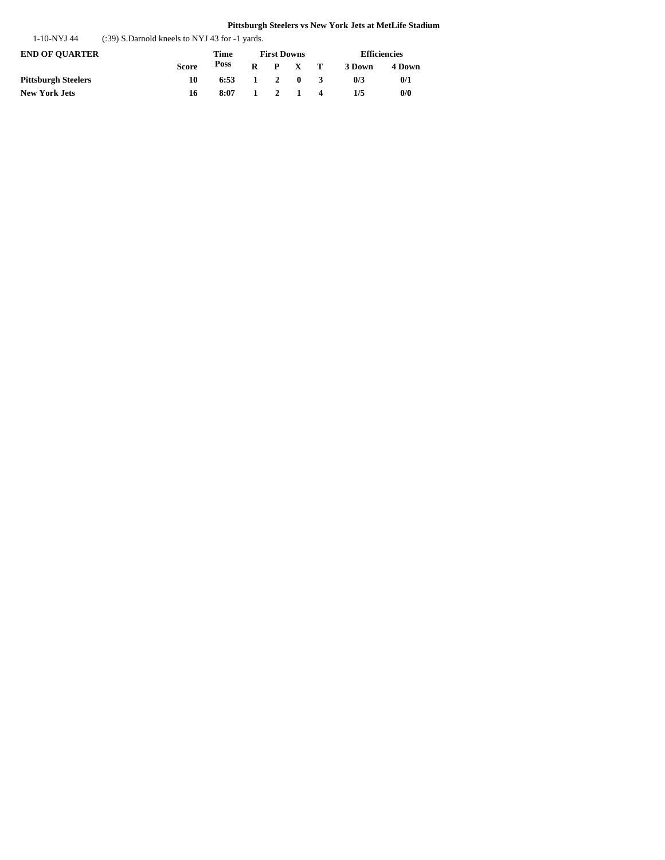| <b>Efficiencies</b> |  |  |
|---------------------|--|--|
| 4 Down              |  |  |
| 0/1                 |  |  |
| 0/0                 |  |  |
|                     |  |  |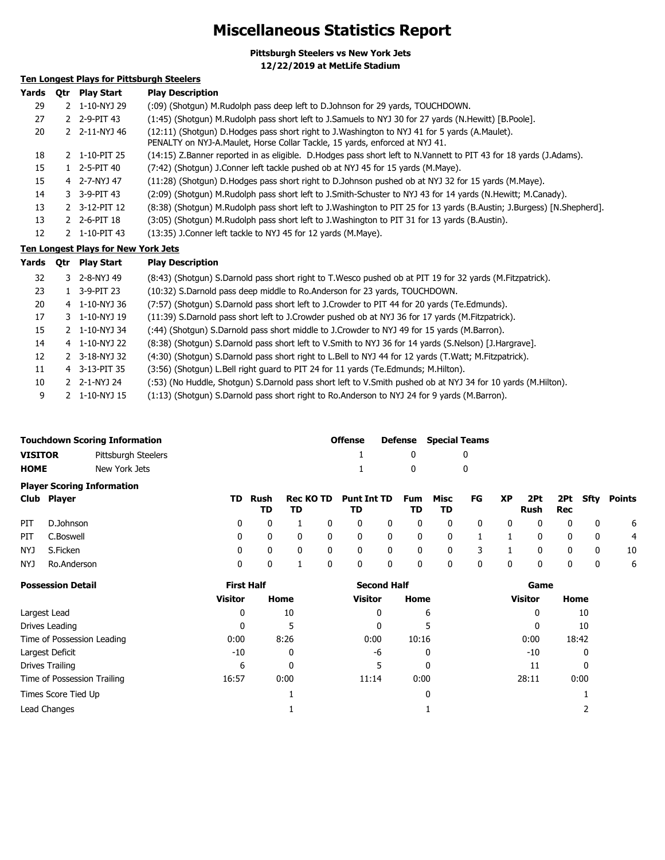### **Miscellaneous Statistics Report**

**Pittsburgh Steelers vs New York Jets**

**12/22/2019 at MetLife Stadium**

### **Ten Longest Plays for Pittsburgh Steelers**

| Yards | Otr | <b>Play Start</b>        | <b>Play Description</b>                                                                                                                                                      |
|-------|-----|--------------------------|------------------------------------------------------------------------------------------------------------------------------------------------------------------------------|
| 29    |     | 2 1-10-NYJ 29            | (:09) (Shotgun) M.Rudolph pass deep left to D.Johnson for 29 yards, TOUCHDOWN.                                                                                               |
| 27    |     | 2 2-9-PIT 43             | (1:45) (Shotgun) M.Rudolph pass short left to J.Samuels to NYJ 30 for 27 yards (N.Hewitt) [B.Poole].                                                                         |
| 20    |     | 2 2-11-NYJ 46            | (12:11) (Shotgun) D.Hodges pass short right to J.Washington to NYJ 41 for 5 yards (A.Maulet).<br>PENALTY on NYJ-A.Maulet, Horse Collar Tackle, 15 yards, enforced at NYJ 41. |
| 18    |     | 2 1-10-PIT 25            | (14:15) Z.Banner reported in as eligible. D.Hodges pass short left to N.Vannett to PIT 43 for 18 yards (J.Adams).                                                            |
| 15    |     | $1 \quad 2 - 5 - PIT 40$ | (7:42) (Shotgun) J.Conner left tackle pushed ob at NYJ 45 for 15 yards (M.Maye).                                                                                             |
| 15    |     | 4 2-7-NYJ 47             | (11:28) (Shotgun) D.Hodges pass short right to D.Johnson pushed ob at NYJ 32 for 15 yards (M.Maye).                                                                          |
| 14    |     | $3 - 3 - 9 - PIT 43$     | (2:09) (Shotqun) M.Rudolph pass short left to J.Smith-Schuster to NYJ 43 for 14 yards (N.Hewitt; M.Canady).                                                                  |
| 13    |     | 2 3-12-PIT 12            | (8:38) (Shotgun) M.Rudolph pass short left to J.Washington to PIT 25 for 13 yards (B.Austin; J.Burgess) [N.Shepherd].                                                        |
| 13    |     | 2 2-6-PIT 18             | (3:05) (Shotgun) M.Rudolph pass short left to J.Washington to PIT 31 for 13 yards (B.Austin).                                                                                |
| 12    |     | 2 1-10-PIT 43            | (13:35) J.Conner left tackle to NYJ 45 for 12 yards (M.Maye).                                                                                                                |

#### **Ten Longest Plays for New York Jets**

| Yards | 0tr | <b>Play Start</b> | <b>Play Description</b>                                                                                      |
|-------|-----|-------------------|--------------------------------------------------------------------------------------------------------------|
| 32    |     | $3$ 2-8-NYJ 49    | (8:43) (Shotgun) S.Darnold pass short right to T.Wesco pushed ob at PIT 19 for 32 yards (M.Fitzpatrick).     |
| 23    |     | 3-9-PIT 23        | (10:32) S.Darnold pass deep middle to Ro.Anderson for 23 yards, TOUCHDOWN.                                   |
| 20    |     | 4 1-10-NYJ 36     | (7:57) (Shotgun) S.Darnold pass short left to J.Crowder to PIT 44 for 20 yards (Te.Edmunds).                 |
| 17    |     | 3 1-10-NYJ 19     | (11:39) S.Darnold pass short left to J.Crowder pushed ob at NYJ 36 for 17 yards (M.Fitzpatrick).             |
| 15    |     | 2 1-10-NYJ 34     | (:44) (Shotqun) S.Darnold pass short middle to J.Crowder to NYJ 49 for 15 yards (M.Barron).                  |
| 14    |     | 4 1-10-NYJ 22     | (8:38) (Shotgun) S.Darnold pass short left to V.Smith to NYJ 36 for 14 yards (S.Nelson) [J.Hargrave].        |
| 12    |     | 2 3-18-NYJ 32     | (4:30) (Shotgun) S.Darnold pass short right to L.Bell to NYJ 44 for 12 yards (T.Watt; M.Fitzpatrick).        |
| 11    |     | 4 3-13-PIT 35     | (3:56) (Shotgun) L.Bell right guard to PIT 24 for 11 yards (Te.Edmunds; M.Hilton).                           |
| 10    |     | 2 2-1-NYJ 24      | (:53) (No Huddle, Shotgun) S.Darnold pass short left to V.Smith pushed ob at NYJ 34 for 10 yards (M.Hilton). |
| 9     |     | 1-10-NYJ 15       | (1:13) (Shotgun) S.Darnold pass short right to Ro.Anderson to NYJ 24 for 9 yards (M.Barron).                 |

|                | <b>Touchdown Scoring Information</b> |                                         | <b>Offense</b> |  | <b>Defense</b> Special Teams |           |  |
|----------------|--------------------------------------|-----------------------------------------|----------------|--|------------------------------|-----------|--|
| <b>VISITOR</b> | Pittsburgh Steelers                  |                                         |                |  |                              |           |  |
| <b>HOME</b>    | New York Jets                        |                                         |                |  | - 0                          |           |  |
|                | <b>Player Scoring Information</b>    |                                         |                |  |                              |           |  |
| Chate Blassey  |                                      | <b>Deal(OTD, Dust Tat TD, From Mine</b> |                |  | -~                           | <b>VR</b> |  |

| Club Player     |                          |                |                         |     |      |  |          |          | TD Rush Rec KO TD Punt Int TD Fum Misc FG XP 2Pt 2Pt Sfty Points |
|-----------------|--------------------------|----------------|-------------------------|-----|------|--|----------|----------|------------------------------------------------------------------|
|                 | TD.                      | TD.            | TD                      | TD. | - TD |  | Rush Rec |          |                                                                  |
| PIT D.Johnson   |                          |                |                         |     |      |  |          |          | 0 0 1 0 0 0 0 0 0 0 0 0 0 0 6                                    |
| PIT C.Boswell   | $\Omega$<br>$\mathbf{0}$ |                | 0 0 0 0 0 0 1 1 0 0 0   |     |      |  |          |          | $\overline{4}$                                                   |
| NYJ S.Ficken    | $\Omega$                 | $\overline{0}$ | 0 0 0 0 0 3 1 0 0       |     |      |  |          | $\sim$ 0 | - 10                                                             |
| NYJ Ro.Anderson |                          |                | 0 1 0 0 0 0 0 0 0 0 0 0 |     |      |  |          |          | 6                                                                |

| <b>Possession Detail</b>    | <b>First Half</b> |      | <b>Second Half</b> |       | Game           |       |  |
|-----------------------------|-------------------|------|--------------------|-------|----------------|-------|--|
|                             | <b>Visitor</b>    | Home | <b>Visitor</b>     | Home  | <b>Visitor</b> | Home  |  |
| Largest Lead                | 0                 | 10   | 0                  | 6     | 0              | 10    |  |
| Drives Leading              |                   | 5    | 0                  |       | 0              | 10    |  |
| Time of Possession Leading  | 0:00              | 8:26 | 0:00               | 10:16 | 0:00           | 18:42 |  |
| Largest Deficit             | $-10$             | 0    | -6                 | 0     | $-10$          | 0     |  |
| Drives Trailing             | 6                 | 0    | 5                  | 0     | 11             | 0     |  |
| Time of Possession Trailing | 16:57             | 0:00 | 11:14              | 0:00  | 28:11          | 0:00  |  |
| Times Score Tied Up         |                   |      |                    | 0     |                |       |  |
| Lead Changes                |                   |      |                    |       |                |       |  |